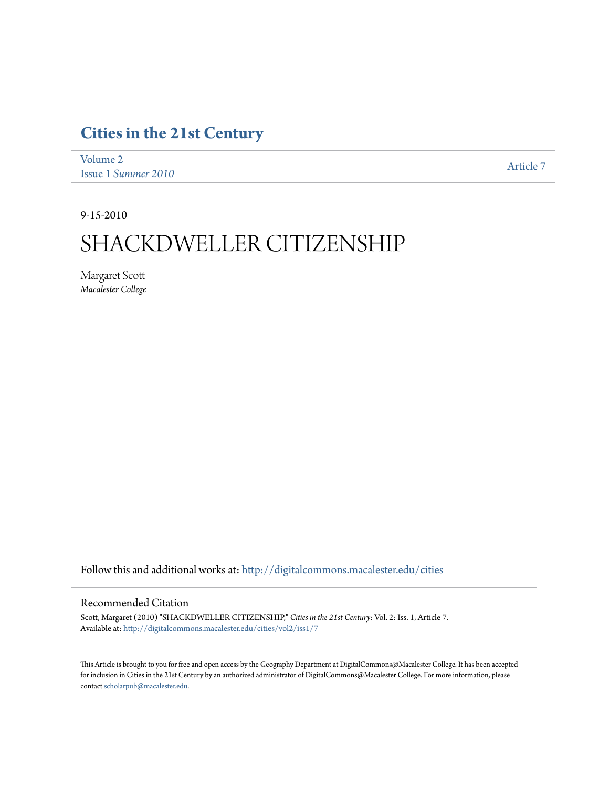# **[Cities in the 21st Century](http://digitalcommons.macalester.edu/cities?utm_source=digitalcommons.macalester.edu%2Fcities%2Fvol2%2Fiss1%2F7&utm_medium=PDF&utm_campaign=PDFCoverPages)**

[Volume 2](http://digitalcommons.macalester.edu/cities/vol2?utm_source=digitalcommons.macalester.edu%2Fcities%2Fvol2%2Fiss1%2F7&utm_medium=PDF&utm_campaign=PDFCoverPages) Issue 1 *[Summer 2010](http://digitalcommons.macalester.edu/cities/vol2/iss1?utm_source=digitalcommons.macalester.edu%2Fcities%2Fvol2%2Fiss1%2F7&utm_medium=PDF&utm_campaign=PDFCoverPages)* [Article 7](http://digitalcommons.macalester.edu/cities/vol2/iss1/7?utm_source=digitalcommons.macalester.edu%2Fcities%2Fvol2%2Fiss1%2F7&utm_medium=PDF&utm_campaign=PDFCoverPages)

9-15-2010

# SHACKDWELLER CITIZENSHIP

Margaret Scott *Macalester College*

Follow this and additional works at: [http://digitalcommons.macalester.edu/cities](http://digitalcommons.macalester.edu/cities?utm_source=digitalcommons.macalester.edu%2Fcities%2Fvol2%2Fiss1%2F7&utm_medium=PDF&utm_campaign=PDFCoverPages)

# Recommended Citation

Scott, Margaret (2010) "SHACKDWELLER CITIZENSHIP," *Cities in the 21st Century*: Vol. 2: Iss. 1, Article 7. Available at: [http://digitalcommons.macalester.edu/cities/vol2/iss1/7](http://digitalcommons.macalester.edu/cities/vol2/iss1/7?utm_source=digitalcommons.macalester.edu%2Fcities%2Fvol2%2Fiss1%2F7&utm_medium=PDF&utm_campaign=PDFCoverPages)

This Article is brought to you for free and open access by the Geography Department at DigitalCommons@Macalester College. It has been accepted for inclusion in Cities in the 21st Century by an authorized administrator of DigitalCommons@Macalester College. For more information, please contact [scholarpub@macalester.edu.](mailto:scholarpub@macalester.edu)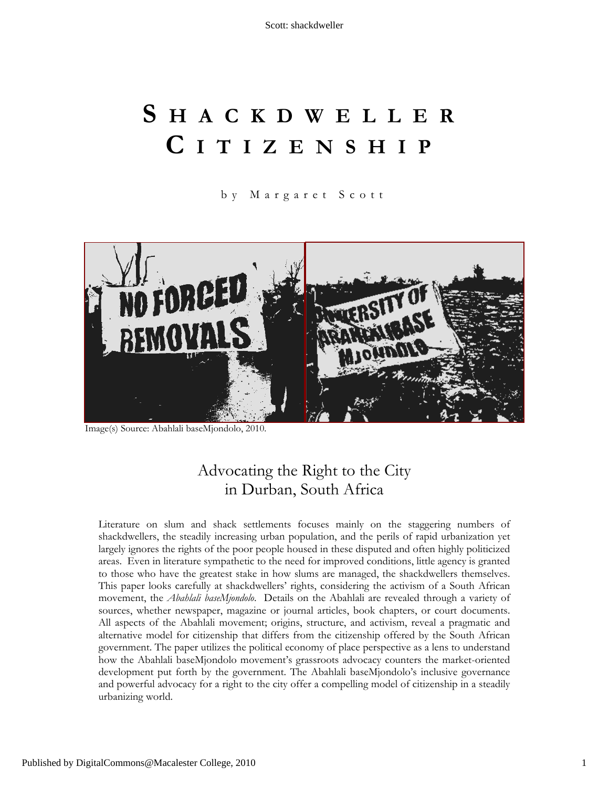# **S HACKDWELLER C ITIZENSHIP**

b y Margaret Scott



Image(s) Source: Abahlali baseMjondolo, 2010.

# Advocating the Right to the City in Durban, South Africa

Literature on slum and shack settlements focuses mainly on the staggering numbers of shackdwellers, the steadily increasing urban population, and the perils of rapid urbanization yet largely ignores the rights of the poor people housed in these disputed and often highly politicized areas. Even in literature sympathetic to the need for improved conditions, little agency is granted to those who have the greatest stake in how slums are managed, the shackdwellers themselves. This paper looks carefully at shackdwellers' rights, considering the activism of a South African movement, the *Abahlali baseMjondolo*. Details on the Abahlali are revealed through a variety of sources, whether newspaper, magazine or journal articles, book chapters, or court documents. All aspects of the Abahlali movement; origins, structure, and activism, reveal a pragmatic and alternative model for citizenship that differs from the citizenship offered by the South African government. The paper utilizes the political economy of place perspective as a lens to understand how the Abahlali baseMjondolo movement's grassroots advocacy counters the market-oriented development put forth by the government. The Abahlali baseMjondolo's inclusive governance and powerful advocacy for a right to the city offer a compelling model of citizenship in a steadily urbanizing world.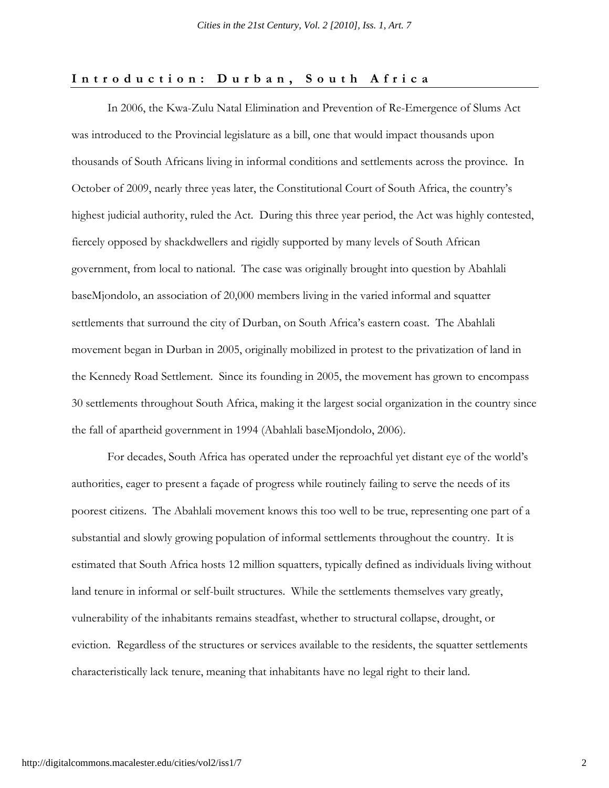# **Introduction: Durban, South Africa**

In 2006, the Kwa-Zulu Natal Elimination and Prevention of Re-Emergence of Slums Act was introduced to the Provincial legislature as a bill, one that would impact thousands upon thousands of South Africans living in informal conditions and settlements across the province. In October of 2009, nearly three yeas later, the Constitutional Court of South Africa, the country's highest judicial authority, ruled the Act. During this three year period, the Act was highly contested, fiercely opposed by shackdwellers and rigidly supported by many levels of South African government, from local to national. The case was originally brought into question by Abahlali baseMjondolo, an association of 20,000 members living in the varied informal and squatter settlements that surround the city of Durban, on South Africa's eastern coast. The Abahlali movement began in Durban in 2005, originally mobilized in protest to the privatization of land in the Kennedy Road Settlement. Since its founding in 2005, the movement has grown to encompass 30 settlements throughout South Africa, making it the largest social organization in the country since the fall of apartheid government in 1994 (Abahlali baseMjondolo, 2006).

For decades, South Africa has operated under the reproachful yet distant eye of the world's authorities, eager to present a façade of progress while routinely failing to serve the needs of its poorest citizens. The Abahlali movement knows this too well to be true, representing one part of a substantial and slowly growing population of informal settlements throughout the country. It is estimated that South Africa hosts 12 million squatters, typically defined as individuals living without land tenure in informal or self-built structures. While the settlements themselves vary greatly, vulnerability of the inhabitants remains steadfast, whether to structural collapse, drought, or eviction. Regardless of the structures or services available to the residents, the squatter settlements characteristically lack tenure, meaning that inhabitants have no legal right to their land.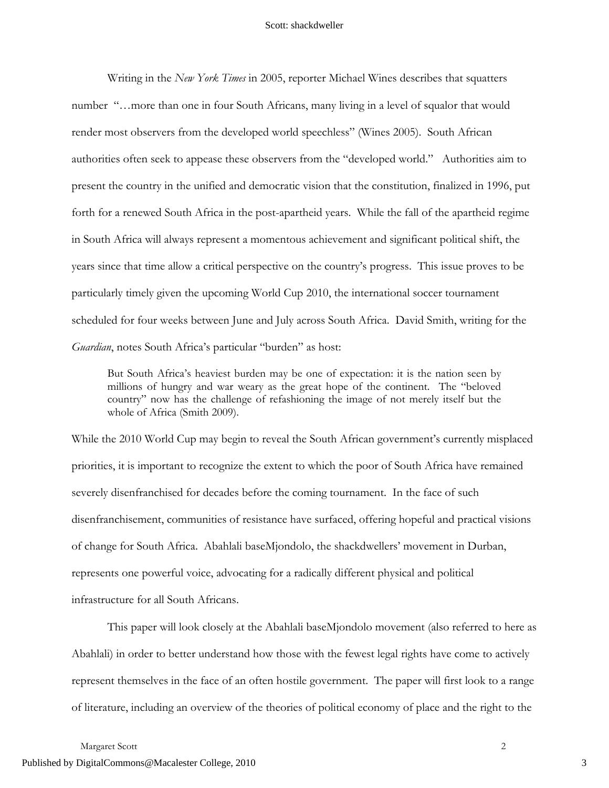Writing in the *New York Times* in 2005, reporter Michael Wines describes that squatters number "…more than one in four South Africans, many living in a level of squalor that would render most observers from the developed world speechless" (Wines 2005). South African authorities often seek to appease these observers from the "developed world." Authorities aim to present the country in the unified and democratic vision that the constitution, finalized in 1996, put forth for a renewed South Africa in the post-apartheid years. While the fall of the apartheid regime in South Africa will always represent a momentous achievement and significant political shift, the years since that time allow a critical perspective on the country's progress. This issue proves to be particularly timely given the upcoming World Cup 2010, the international soccer tournament scheduled for four weeks between June and July across South Africa. David Smith, writing for the *Guardian*, notes South Africa's particular "burden" as host:

But South Africa's heaviest burden may be one of expectation: it is the nation seen by millions of hungry and war weary as the great hope of the continent. The "beloved country" now has the challenge of refashioning the image of not merely itself but the whole of Africa (Smith 2009).

While the 2010 World Cup may begin to reveal the South African government's currently misplaced priorities, it is important to recognize the extent to which the poor of South Africa have remained severely disenfranchised for decades before the coming tournament. In the face of such disenfranchisement, communities of resistance have surfaced, offering hopeful and practical visions of change for South Africa. Abahlali baseMjondolo, the shackdwellers' movement in Durban, represents one powerful voice, advocating for a radically different physical and political infrastructure for all South Africans.

This paper will look closely at the Abahlali baseMjondolo movement (also referred to here as Abahlali) in order to better understand how those with the fewest legal rights have come to actively represent themselves in the face of an often hostile government. The paper will first look to a range of literature, including an overview of the theories of political economy of place and the right to the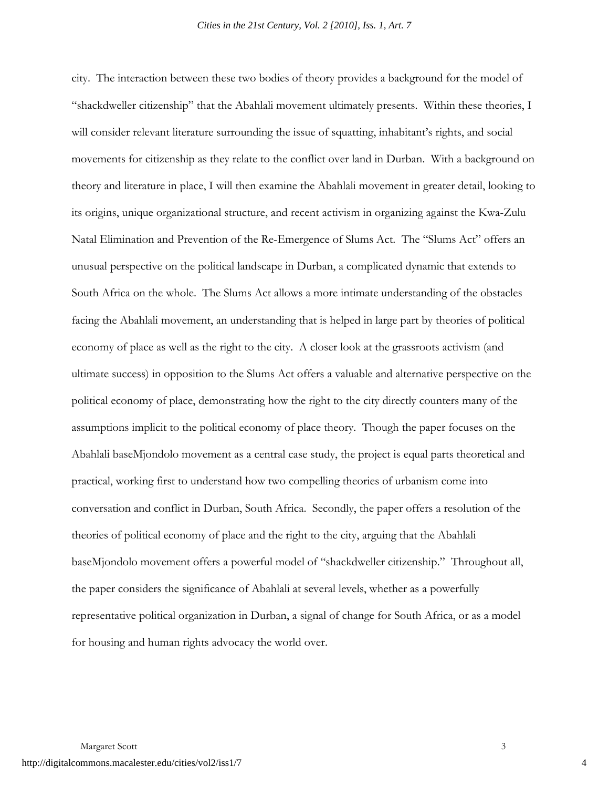city. The interaction between these two bodies of theory provides a background for the model of "shackdweller citizenship" that the Abahlali movement ultimately presents. Within these theories, I will consider relevant literature surrounding the issue of squatting, inhabitant's rights, and social movements for citizenship as they relate to the conflict over land in Durban. With a background on theory and literature in place, I will then examine the Abahlali movement in greater detail, looking to its origins, unique organizational structure, and recent activism in organizing against the Kwa-Zulu Natal Elimination and Prevention of the Re-Emergence of Slums Act. The "Slums Act" offers an unusual perspective on the political landscape in Durban, a complicated dynamic that extends to South Africa on the whole. The Slums Act allows a more intimate understanding of the obstacles facing the Abahlali movement, an understanding that is helped in large part by theories of political economy of place as well as the right to the city. A closer look at the grassroots activism (and ultimate success) in opposition to the Slums Act offers a valuable and alternative perspective on the political economy of place, demonstrating how the right to the city directly counters many of the assumptions implicit to the political economy of place theory. Though the paper focuses on the Abahlali baseMjondolo movement as a central case study, the project is equal parts theoretical and practical, working first to understand how two compelling theories of urbanism come into conversation and conflict in Durban, South Africa. Secondly, the paper offers a resolution of the theories of political economy of place and the right to the city, arguing that the Abahlali baseMjondolo movement offers a powerful model of "shackdweller citizenship." Throughout all, the paper considers the significance of Abahlali at several levels, whether as a powerfully representative political organization in Durban, a signal of change for South Africa, or as a model for housing and human rights advocacy the world over.

4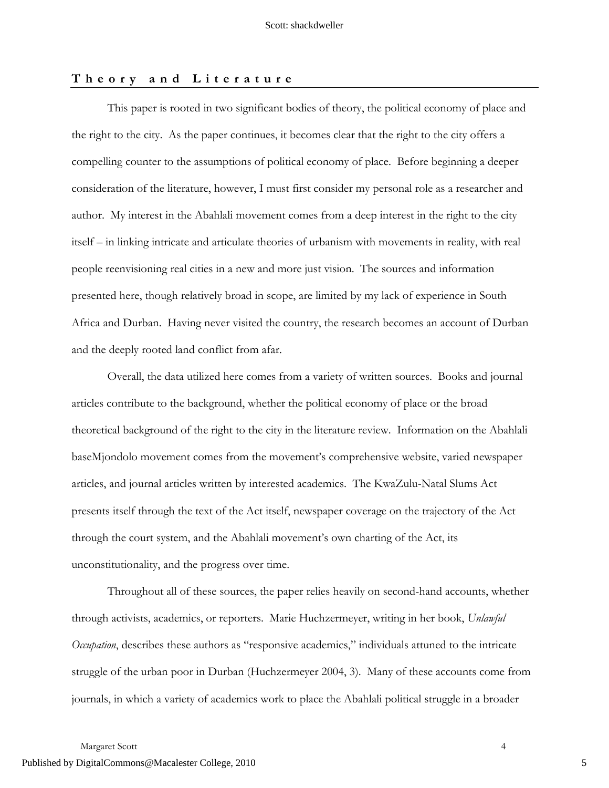# **Theory and Literature**

This paper is rooted in two significant bodies of theory, the political economy of place and the right to the city. As the paper continues, it becomes clear that the right to the city offers a compelling counter to the assumptions of political economy of place. Before beginning a deeper consideration of the literature, however, I must first consider my personal role as a researcher and author. My interest in the Abahlali movement comes from a deep interest in the right to the city itself – in linking intricate and articulate theories of urbanism with movements in reality, with real people reenvisioning real cities in a new and more just vision. The sources and information presented here, though relatively broad in scope, are limited by my lack of experience in South Africa and Durban. Having never visited the country, the research becomes an account of Durban and the deeply rooted land conflict from afar.

Overall, the data utilized here comes from a variety of written sources. Books and journal articles contribute to the background, whether the political economy of place or the broad theoretical background of the right to the city in the literature review. Information on the Abahlali baseMjondolo movement comes from the movement's comprehensive website, varied newspaper articles, and journal articles written by interested academics. The KwaZulu-Natal Slums Act presents itself through the text of the Act itself, newspaper coverage on the trajectory of the Act through the court system, and the Abahlali movement's own charting of the Act, its unconstitutionality, and the progress over time.

Throughout all of these sources, the paper relies heavily on second-hand accounts, whether through activists, academics, or reporters. Marie Huchzermeyer, writing in her book, *Unlawful Occupation*, describes these authors as "responsive academics," individuals attuned to the intricate struggle of the urban poor in Durban (Huchzermeyer 2004, 3). Many of these accounts come from journals, in which a variety of academics work to place the Abahlali political struggle in a broader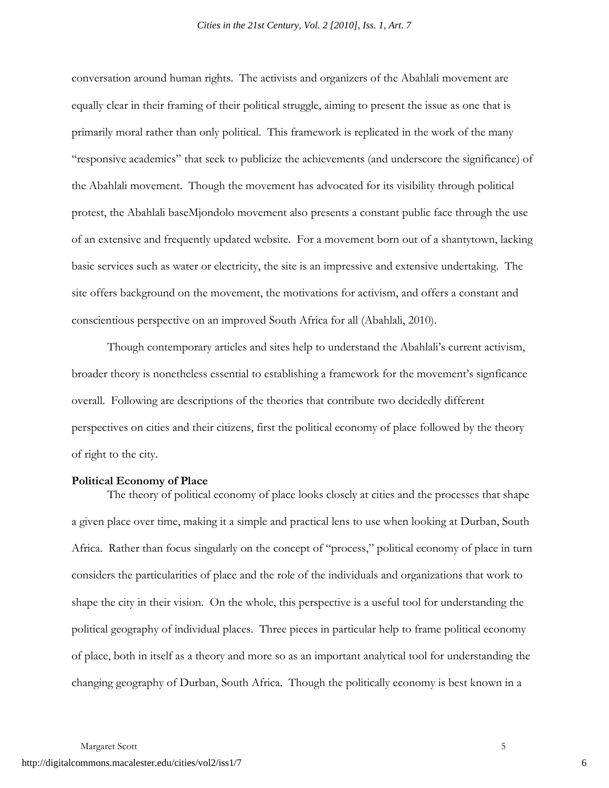conversation around human rights. The activists and organizers of the Abahlali movement are equally clear in their framing of their political struggle, aiming to present the issue as one that is primarily moral rather than only political. This framework is replicated in the work of the many "responsive academics" that seek to publicize the achievements (and underscore the significance) of the Abahlali movement. Though the movement has advocated for its visibility through political protest, the Abahlali baseMjondolo movement also presents a constant public face through the use of an extensive and frequently updated website. For a movement born out of a shantytown, lacking basic services such as water or electricity, the site is an impressive and extensive undertaking. The site offers background on the movement, the motivations for activism, and offers a constant and conscientious perspective on an improved South Africa for all (Abahlali, 2010).

Though contemporary articles and sites help to understand the Abahlali's current activism, broader theory is nonetheless essential to establishing a framework for the movement's signficance overall. Following are descriptions of the theories that contribute two decidedly different perspectives on cities and their citizens, first the political economy of place followed by the theory of right to the city.

# **Political Economy of Place**

The theory of political economy of place looks closely at cities and the processes that shape a given place over time, making it a simple and practical lens to use when looking at Durban, South Africa. Rather than focus singularly on the concept of "process," political economy of place in turn considers the particularities of place and the role of the individuals and organizations that work to shape the city in their vision. On the whole, this perspective is a useful tool for understanding the political geography of individual places. Three pieces in particular help to frame political economy of place, both in itself as a theory and more so as an important analytical tool for understanding the changing geography of Durban, South Africa. Though the politically economy is best known in a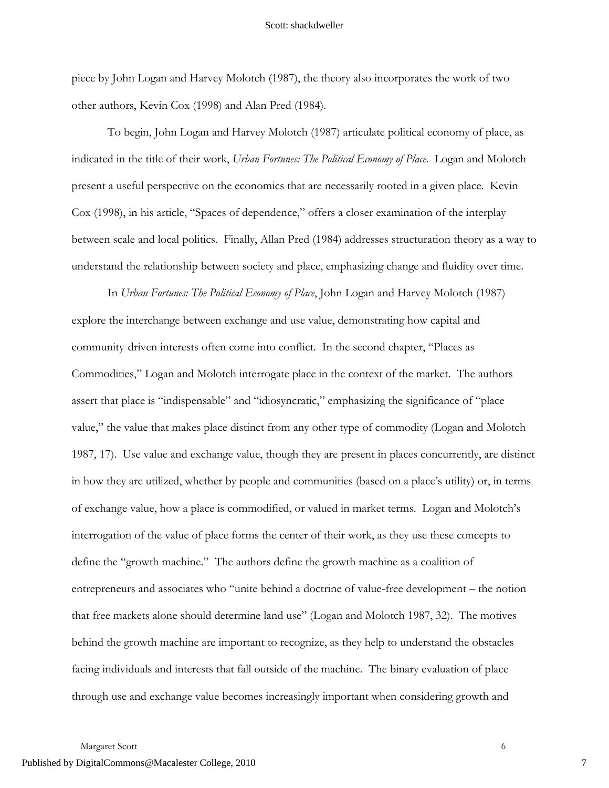piece by John Logan and Harvey Molotch (1987), the theory also incorporates the work of two other authors, Kevin Cox (1998) and Alan Pred (1984).

To begin, John Logan and Harvey Molotch (1987) articulate political economy of place, as indicated in the title of their work, *Urban Fortunes: The Political Economy of Place*. Logan and Molotch present a useful perspective on the economics that are necessarily rooted in a given place. Kevin Cox (1998), in his article, "Spaces of dependence," offers a closer examination of the interplay between scale and local politics. Finally, Allan Pred (1984) addresses structuration theory as a way to understand the relationship between society and place, emphasizing change and fluidity over time.

In *Urban Fortunes: The Political Economy of Place*, John Logan and Harvey Molotch (1987) explore the interchange between exchange and use value, demonstrating how capital and community-driven interests often come into conflict. In the second chapter, "Places as Commodities," Logan and Molotch interrogate place in the context of the market. The authors assert that place is "indispensable" and "idiosyncratic," emphasizing the significance of "place value," the value that makes place distinct from any other type of commodity (Logan and Molotch 1987, 17). Use value and exchange value, though they are present in places concurrently, are distinct in how they are utilized, whether by people and communities (based on a place's utility) or, in terms of exchange value, how a place is commodified, or valued in market terms. Logan and Molotch's interrogation of the value of place forms the center of their work, as they use these concepts to define the "growth machine." The authors define the growth machine as a coalition of entrepreneurs and associates who "unite behind a doctrine of value-free development – the notion that free markets alone should determine land use" (Logan and Molotch 1987, 32). The motives behind the growth machine are important to recognize, as they help to understand the obstacles facing individuals and interests that fall outside of the machine. The binary evaluation of place through use and exchange value becomes increasingly important when considering growth and

Margaret Scott 6 and 3 and 3 and 3 and 3 and 3 and 3 and 3 and 3 and 3 and 3 and 3 and 4 and 4 and 4 and 4 and 4 and 4 and 4 and 4 and 4 and 4 and 4 and 4 and 4 and 4 and 4 and 4 and 4 and 4 and 4 and 4 and 4 and 4 and 4 a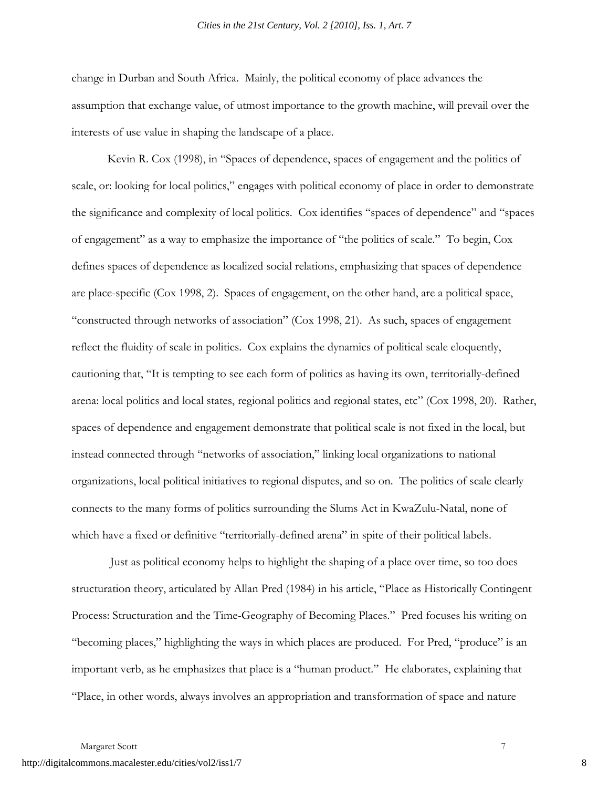change in Durban and South Africa. Mainly, the political economy of place advances the assumption that exchange value, of utmost importance to the growth machine, will prevail over the interests of use value in shaping the landscape of a place.

Kevin R. Cox (1998), in "Spaces of dependence, spaces of engagement and the politics of scale, or: looking for local politics," engages with political economy of place in order to demonstrate the significance and complexity of local politics. Cox identifies "spaces of dependence" and "spaces of engagement" as a way to emphasize the importance of "the politics of scale." To begin, Cox defines spaces of dependence as localized social relations, emphasizing that spaces of dependence are place-specific (Cox 1998, 2). Spaces of engagement, on the other hand, are a political space, "constructed through networks of association" (Cox 1998, 21). As such, spaces of engagement reflect the fluidity of scale in politics. Cox explains the dynamics of political scale eloquently, cautioning that, "It is tempting to see each form of politics as having its own, territorially-defined arena: local politics and local states, regional politics and regional states, etc" (Cox 1998, 20). Rather, spaces of dependence and engagement demonstrate that political scale is not fixed in the local, but instead connected through "networks of association," linking local organizations to national organizations, local political initiatives to regional disputes, and so on. The politics of scale clearly connects to the many forms of politics surrounding the Slums Act in KwaZulu-Natal, none of which have a fixed or definitive "territorially-defined arena" in spite of their political labels.

 Just as political economy helps to highlight the shaping of a place over time, so too does structuration theory, articulated by Allan Pred (1984) in his article, "Place as Historically Contingent Process: Structuration and the Time-Geography of Becoming Places." Pred focuses his writing on "becoming places," highlighting the ways in which places are produced. For Pred, "produce" is an important verb, as he emphasizes that place is a "human product." He elaborates, explaining that "Place, in other words, always involves an appropriation and transformation of space and nature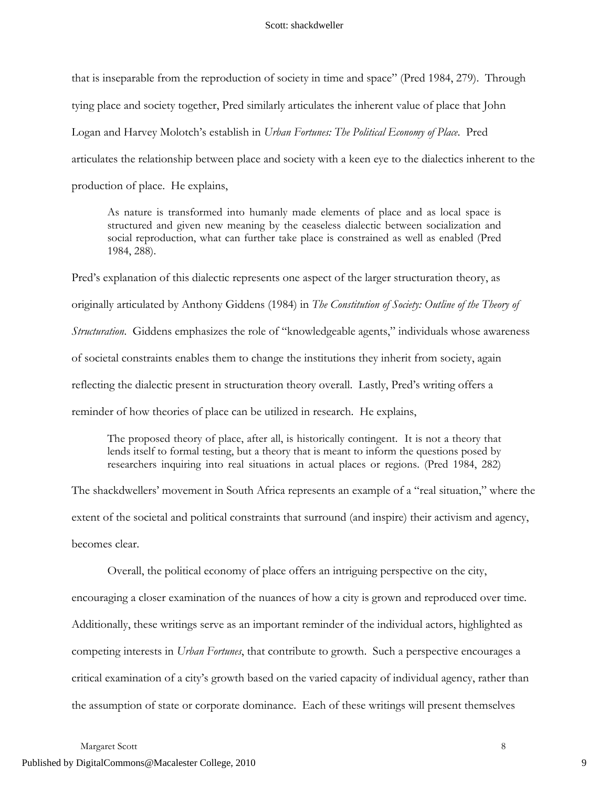that is inseparable from the reproduction of society in time and space" (Pred 1984, 279). Through

tying place and society together, Pred similarly articulates the inherent value of place that John

Logan and Harvey Molotch's establish in *Urban Fortunes: The Political Economy of Place*. Pred

articulates the relationship between place and society with a keen eye to the dialectics inherent to the

production of place. He explains,

As nature is transformed into humanly made elements of place and as local space is structured and given new meaning by the ceaseless dialectic between socialization and social reproduction, what can further take place is constrained as well as enabled (Pred 1984, 288).

Pred's explanation of this dialectic represents one aspect of the larger structuration theory, as originally articulated by Anthony Giddens (1984) in *The Constitution of Society: Outline of the Theory of Structuration*. Giddens emphasizes the role of "knowledgeable agents," individuals whose awareness of societal constraints enables them to change the institutions they inherit from society, again reflecting the dialectic present in structuration theory overall. Lastly, Pred's writing offers a reminder of how theories of place can be utilized in research. He explains,

The proposed theory of place, after all, is historically contingent. It is not a theory that lends itself to formal testing, but a theory that is meant to inform the questions posed by researchers inquiring into real situations in actual places or regions. (Pred 1984, 282)

The shackdwellers' movement in South Africa represents an example of a "real situation," where the extent of the societal and political constraints that surround (and inspire) their activism and agency, becomes clear.

Overall, the political economy of place offers an intriguing perspective on the city, encouraging a closer examination of the nuances of how a city is grown and reproduced over time. Additionally, these writings serve as an important reminder of the individual actors, highlighted as competing interests in *Urban Fortunes*, that contribute to growth. Such a perspective encourages a critical examination of a city's growth based on the varied capacity of individual agency, rather than the assumption of state or corporate dominance. Each of these writings will present themselves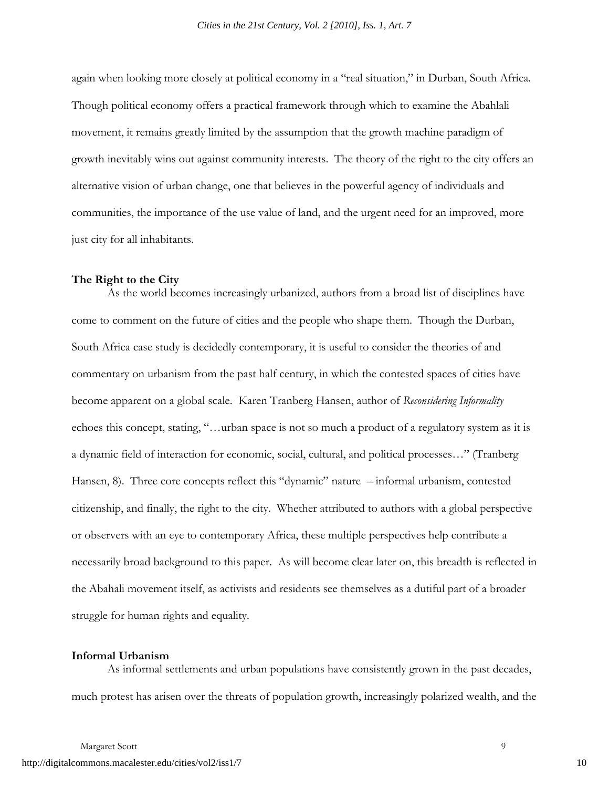again when looking more closely at political economy in a "real situation," in Durban, South Africa. Though political economy offers a practical framework through which to examine the Abahlali movement, it remains greatly limited by the assumption that the growth machine paradigm of growth inevitably wins out against community interests. The theory of the right to the city offers an alternative vision of urban change, one that believes in the powerful agency of individuals and communities, the importance of the use value of land, and the urgent need for an improved, more just city for all inhabitants.

## **The Right to the City**

As the world becomes increasingly urbanized, authors from a broad list of disciplines have come to comment on the future of cities and the people who shape them. Though the Durban, South Africa case study is decidedly contemporary, it is useful to consider the theories of and commentary on urbanism from the past half century, in which the contested spaces of cities have become apparent on a global scale. Karen Tranberg Hansen, author of *Reconsidering Informality* echoes this concept, stating, "…urban space is not so much a product of a regulatory system as it is a dynamic field of interaction for economic, social, cultural, and political processes…" (Tranberg Hansen, 8). Three core concepts reflect this "dynamic" nature – informal urbanism, contested citizenship, and finally, the right to the city. Whether attributed to authors with a global perspective or observers with an eye to contemporary Africa, these multiple perspectives help contribute a necessarily broad background to this paper. As will become clear later on, this breadth is reflected in the Abahali movement itself, as activists and residents see themselves as a dutiful part of a broader struggle for human rights and equality.

## **Informal Urbanism**

As informal settlements and urban populations have consistently grown in the past decades, much protest has arisen over the threats of population growth, increasingly polarized wealth, and the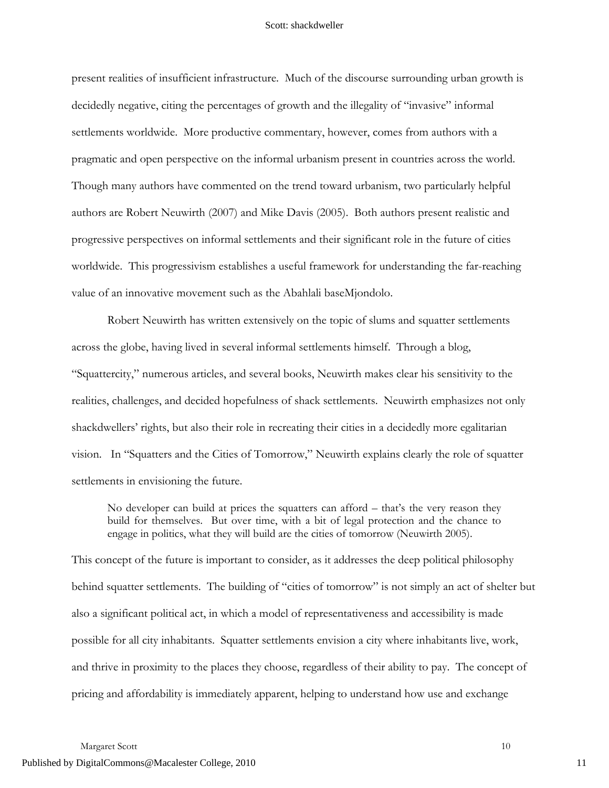present realities of insufficient infrastructure. Much of the discourse surrounding urban growth is decidedly negative, citing the percentages of growth and the illegality of "invasive" informal settlements worldwide. More productive commentary, however, comes from authors with a pragmatic and open perspective on the informal urbanism present in countries across the world. Though many authors have commented on the trend toward urbanism, two particularly helpful authors are Robert Neuwirth (2007) and Mike Davis (2005). Both authors present realistic and progressive perspectives on informal settlements and their significant role in the future of cities worldwide. This progressivism establishes a useful framework for understanding the far-reaching value of an innovative movement such as the Abahlali baseMjondolo.

Robert Neuwirth has written extensively on the topic of slums and squatter settlements across the globe, having lived in several informal settlements himself. Through a blog, "Squattercity," numerous articles, and several books, Neuwirth makes clear his sensitivity to the realities, challenges, and decided hopefulness of shack settlements. Neuwirth emphasizes not only shackdwellers' rights, but also their role in recreating their cities in a decidedly more egalitarian vision. In "Squatters and the Cities of Tomorrow," Neuwirth explains clearly the role of squatter settlements in envisioning the future.

No developer can build at prices the squatters can afford – that's the very reason they build for themselves. But over time, with a bit of legal protection and the chance to engage in politics, what they will build are the cities of tomorrow (Neuwirth 2005).

This concept of the future is important to consider, as it addresses the deep political philosophy behind squatter settlements. The building of "cities of tomorrow" is not simply an act of shelter but also a significant political act, in which a model of representativeness and accessibility is made possible for all city inhabitants. Squatter settlements envision a city where inhabitants live, work, and thrive in proximity to the places they choose, regardless of their ability to pay. The concept of pricing and affordability is immediately apparent, helping to understand how use and exchange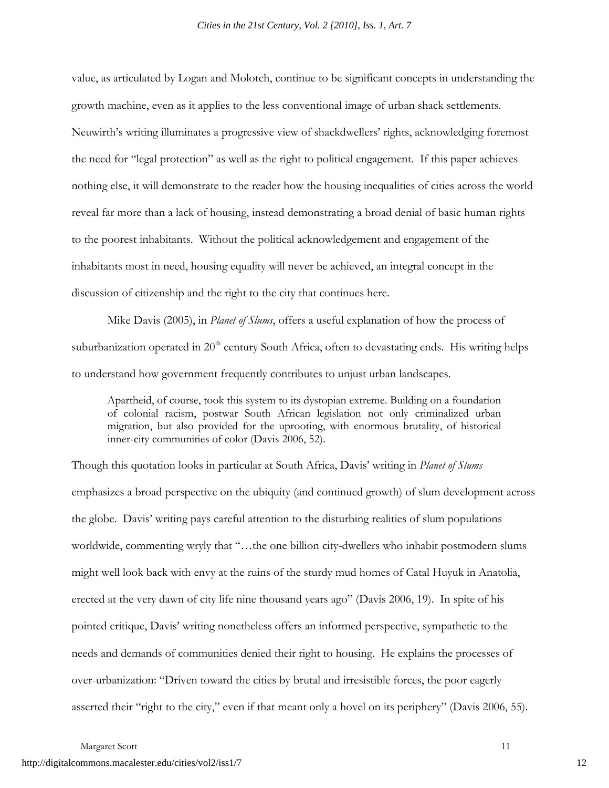value, as articulated by Logan and Molotch, continue to be significant concepts in understanding the growth machine, even as it applies to the less conventional image of urban shack settlements. Neuwirth's writing illuminates a progressive view of shackdwellers' rights, acknowledging foremost the need for "legal protection" as well as the right to political engagement. If this paper achieves nothing else, it will demonstrate to the reader how the housing inequalities of cities across the world reveal far more than a lack of housing, instead demonstrating a broad denial of basic human rights to the poorest inhabitants. Without the political acknowledgement and engagement of the inhabitants most in need, housing equality will never be achieved, an integral concept in the discussion of citizenship and the right to the city that continues here.

Mike Davis (2005), in *Planet of Slums*, offers a useful explanation of how the process of suburbanization operated in  $20<sup>th</sup>$  century South Africa, often to devastating ends. His writing helps to understand how government frequently contributes to unjust urban landscapes.

Apartheid, of course, took this system to its dystopian extreme. Building on a foundation of colonial racism, postwar South African legislation not only criminalized urban migration, but also provided for the uprooting, with enormous brutality, of historical inner-city communities of color (Davis 2006, 52).

Though this quotation looks in particular at South Africa, Davis' writing in *Planet of Slums* emphasizes a broad perspective on the ubiquity (and continued growth) of slum development across the globe. Davis' writing pays careful attention to the disturbing realities of slum populations worldwide, commenting wryly that "…the one billion city-dwellers who inhabit postmodern slums might well look back with envy at the ruins of the sturdy mud homes of Catal Huyuk in Anatolia, erected at the very dawn of city life nine thousand years ago" (Davis 2006, 19). In spite of his pointed critique, Davis' writing nonetheless offers an informed perspective, sympathetic to the needs and demands of communities denied their right to housing. He explains the processes of over-urbanization: "Driven toward the cities by brutal and irresistible forces, the poor eagerly asserted their "right to the city," even if that meant only a hovel on its periphery" (Davis 2006, 55).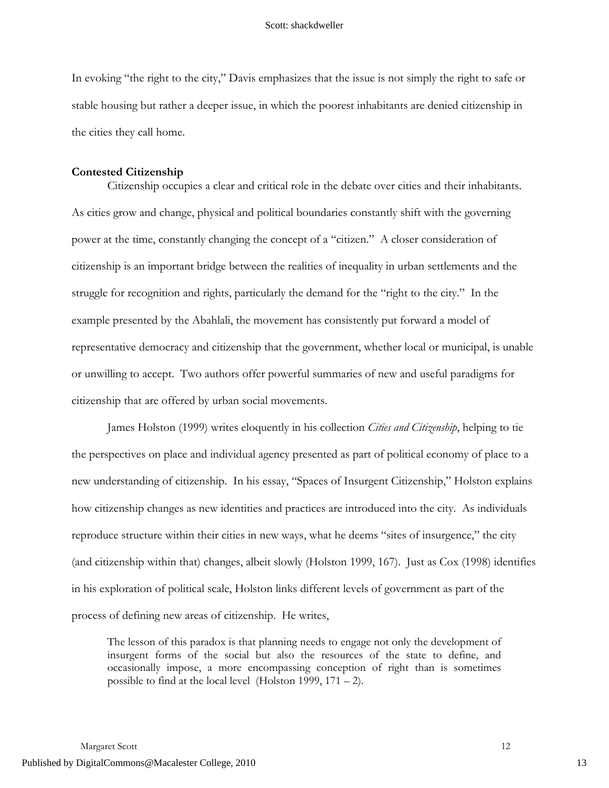In evoking "the right to the city," Davis emphasizes that the issue is not simply the right to safe or stable housing but rather a deeper issue, in which the poorest inhabitants are denied citizenship in the cities they call home.

### **Contested Citizenship**

Citizenship occupies a clear and critical role in the debate over cities and their inhabitants. As cities grow and change, physical and political boundaries constantly shift with the governing power at the time, constantly changing the concept of a "citizen." A closer consideration of citizenship is an important bridge between the realities of inequality in urban settlements and the struggle for recognition and rights, particularly the demand for the "right to the city." In the example presented by the Abahlali, the movement has consistently put forward a model of representative democracy and citizenship that the government, whether local or municipal, is unable or unwilling to accept. Two authors offer powerful summaries of new and useful paradigms for citizenship that are offered by urban social movements.

James Holston (1999) writes eloquently in his collection *Cities and Citizenship*, helping to tie the perspectives on place and individual agency presented as part of political economy of place to a new understanding of citizenship. In his essay, "Spaces of Insurgent Citizenship," Holston explains how citizenship changes as new identities and practices are introduced into the city. As individuals reproduce structure within their cities in new ways, what he deems "sites of insurgence," the city (and citizenship within that) changes, albeit slowly (Holston 1999, 167). Just as Cox (1998) identifies in his exploration of political scale, Holston links different levels of government as part of the process of defining new areas of citizenship. He writes,

The lesson of this paradox is that planning needs to engage not only the development of insurgent forms of the social but also the resources of the state to define, and occasionally impose, a more encompassing conception of right than is sometimes possible to find at the local level (Holston 1999, 171 – 2).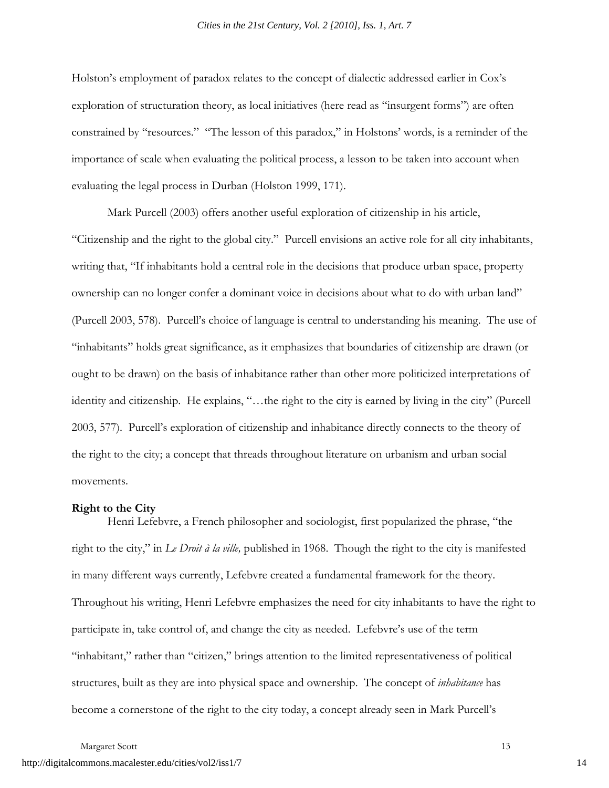Holston's employment of paradox relates to the concept of dialectic addressed earlier in Cox's exploration of structuration theory, as local initiatives (here read as "insurgent forms") are often constrained by "resources." "The lesson of this paradox," in Holstons' words, is a reminder of the importance of scale when evaluating the political process, a lesson to be taken into account when evaluating the legal process in Durban (Holston 1999, 171).

Mark Purcell (2003) offers another useful exploration of citizenship in his article, "Citizenship and the right to the global city." Purcell envisions an active role for all city inhabitants, writing that, "If inhabitants hold a central role in the decisions that produce urban space, property ownership can no longer confer a dominant voice in decisions about what to do with urban land" (Purcell 2003, 578). Purcell's choice of language is central to understanding his meaning. The use of "inhabitants" holds great significance, as it emphasizes that boundaries of citizenship are drawn (or ought to be drawn) on the basis of inhabitance rather than other more politicized interpretations of identity and citizenship. He explains, "…the right to the city is earned by living in the city" (Purcell 2003, 577). Purcell's exploration of citizenship and inhabitance directly connects to the theory of the right to the city; a concept that threads throughout literature on urbanism and urban social movements.

#### **Right to the City**

Henri Lefebvre, a French philosopher and sociologist, first popularized the phrase, "the right to the city," in *Le Droit à la ville,* published in 1968. Though the right to the city is manifested in many different ways currently, Lefebvre created a fundamental framework for the theory. Throughout his writing, Henri Lefebvre emphasizes the need for city inhabitants to have the right to participate in, take control of, and change the city as needed. Lefebvre's use of the term "inhabitant," rather than "citizen," brings attention to the limited representativeness of political structures, built as they are into physical space and ownership. The concept of *inhabitance* has become a cornerstone of the right to the city today, a concept already seen in Mark Purcell's

Margaret Scott 13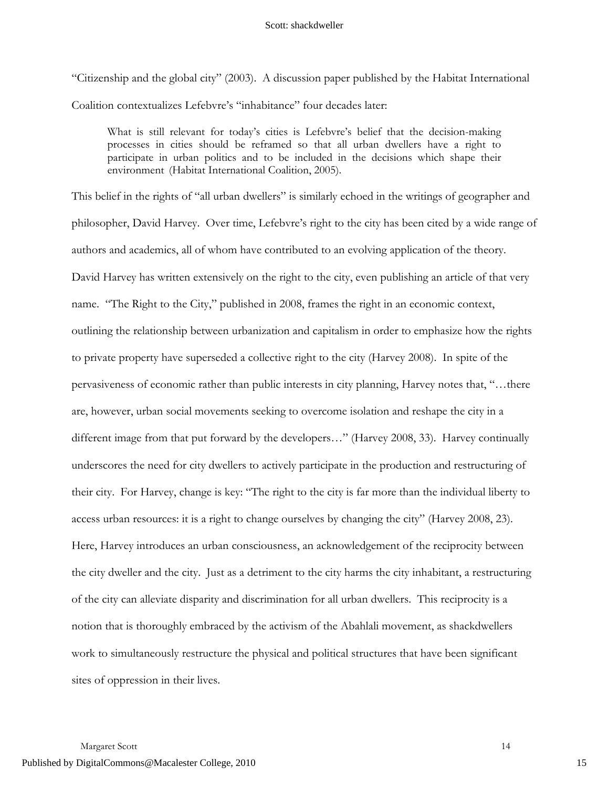"Citizenship and the global city" (2003). A discussion paper published by the Habitat International Coalition contextualizes Lefebvre's "inhabitance" four decades later:

What is still relevant for today's cities is Lefebvre's belief that the decision-making processes in cities should be reframed so that all urban dwellers have a right to participate in urban politics and to be included in the decisions which shape their environment (Habitat International Coalition, 2005).

This belief in the rights of "all urban dwellers" is similarly echoed in the writings of geographer and philosopher, David Harvey. Over time, Lefebvre's right to the city has been cited by a wide range of authors and academics, all of whom have contributed to an evolving application of the theory. David Harvey has written extensively on the right to the city, even publishing an article of that very name. "The Right to the City," published in 2008, frames the right in an economic context, outlining the relationship between urbanization and capitalism in order to emphasize how the rights to private property have superseded a collective right to the city (Harvey 2008). In spite of the pervasiveness of economic rather than public interests in city planning, Harvey notes that, "…there are, however, urban social movements seeking to overcome isolation and reshape the city in a different image from that put forward by the developers…" (Harvey 2008, 33). Harvey continually underscores the need for city dwellers to actively participate in the production and restructuring of their city. For Harvey, change is key: "The right to the city is far more than the individual liberty to access urban resources: it is a right to change ourselves by changing the city" (Harvey 2008, 23). Here, Harvey introduces an urban consciousness, an acknowledgement of the reciprocity between the city dweller and the city. Just as a detriment to the city harms the city inhabitant, a restructuring of the city can alleviate disparity and discrimination for all urban dwellers. This reciprocity is a notion that is thoroughly embraced by the activism of the Abahlali movement, as shackdwellers work to simultaneously restructure the physical and political structures that have been significant sites of oppression in their lives.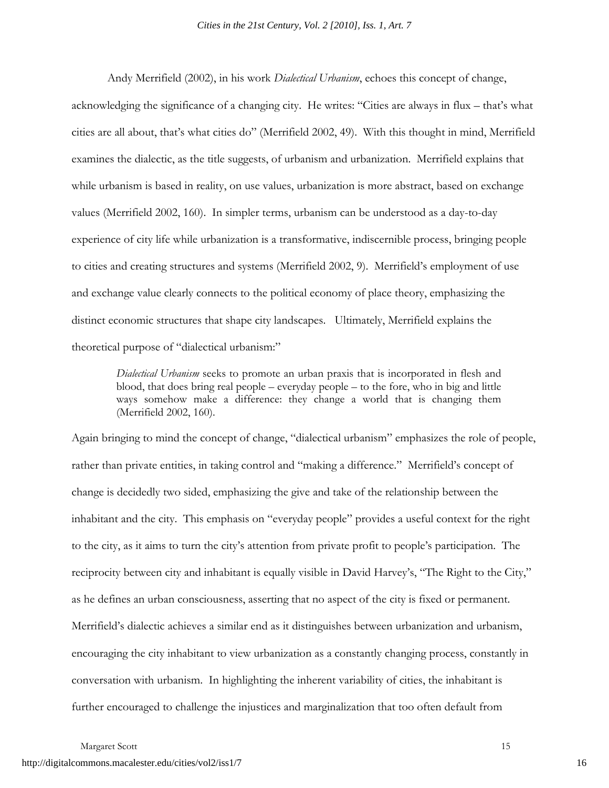Andy Merrifield (2002), in his work *Dialectical Urbanism*, echoes this concept of change, acknowledging the significance of a changing city. He writes: "Cities are always in flux – that's what cities are all about, that's what cities do" (Merrifield 2002, 49). With this thought in mind, Merrifield examines the dialectic, as the title suggests, of urbanism and urbanization. Merrifield explains that while urbanism is based in reality, on use values, urbanization is more abstract, based on exchange values (Merrifield 2002, 160). In simpler terms, urbanism can be understood as a day-to-day experience of city life while urbanization is a transformative, indiscernible process, bringing people to cities and creating structures and systems (Merrifield 2002, 9). Merrifield's employment of use and exchange value clearly connects to the political economy of place theory, emphasizing the distinct economic structures that shape city landscapes. Ultimately, Merrifield explains the theoretical purpose of "dialectical urbanism:"

*Dialectical Urbanism* seeks to promote an urban praxis that is incorporated in flesh and blood, that does bring real people – everyday people – to the fore, who in big and little ways somehow make a difference: they change a world that is changing them (Merrifield 2002, 160).

Again bringing to mind the concept of change, "dialectical urbanism" emphasizes the role of people, rather than private entities, in taking control and "making a difference." Merrifield's concept of change is decidedly two sided, emphasizing the give and take of the relationship between the inhabitant and the city. This emphasis on "everyday people" provides a useful context for the right to the city, as it aims to turn the city's attention from private profit to people's participation. The reciprocity between city and inhabitant is equally visible in David Harvey's, "The Right to the City," as he defines an urban consciousness, asserting that no aspect of the city is fixed or permanent. Merrifield's dialectic achieves a similar end as it distinguishes between urbanization and urbanism, encouraging the city inhabitant to view urbanization as a constantly changing process, constantly in conversation with urbanism. In highlighting the inherent variability of cities, the inhabitant is further encouraged to challenge the injustices and marginalization that too often default from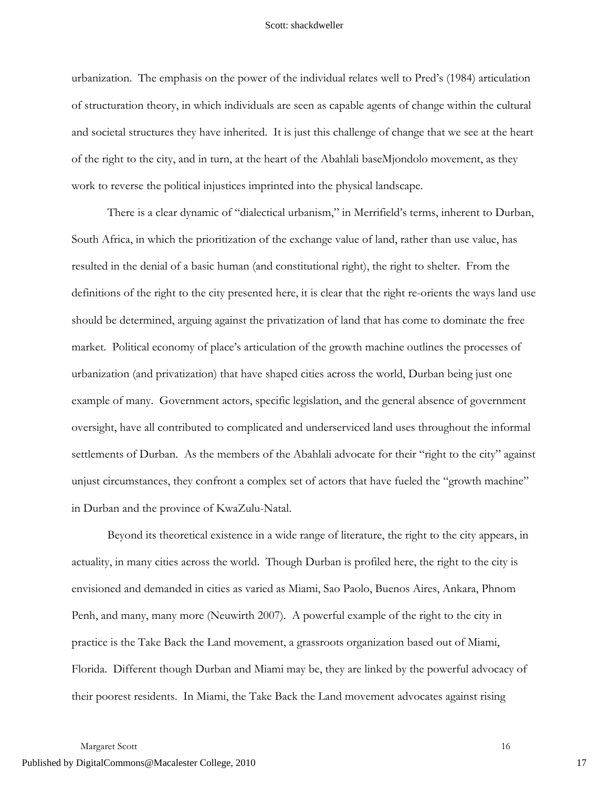urbanization. The emphasis on the power of the individual relates well to Pred's (1984) articulation of structuration theory, in which individuals are seen as capable agents of change within the cultural and societal structures they have inherited. It is just this challenge of change that we see at the heart of the right to the city, and in turn, at the heart of the Abahlali baseMjondolo movement, as they work to reverse the political injustices imprinted into the physical landscape.

There is a clear dynamic of "dialectical urbanism," in Merrifield's terms, inherent to Durban, South Africa, in which the prioritization of the exchange value of land, rather than use value, has resulted in the denial of a basic human (and constitutional right), the right to shelter. From the definitions of the right to the city presented here, it is clear that the right re-orients the ways land use should be determined, arguing against the privatization of land that has come to dominate the free market. Political economy of place's articulation of the growth machine outlines the processes of urbanization (and privatization) that have shaped cities across the world, Durban being just one example of many. Government actors, specific legislation, and the general absence of government oversight, have all contributed to complicated and underserviced land uses throughout the informal settlements of Durban. As the members of the Abahlali advocate for their "right to the city" against unjust circumstances, they confront a complex set of actors that have fueled the "growth machine" in Durban and the province of KwaZulu-Natal.

Beyond its theoretical existence in a wide range of literature, the right to the city appears, in actuality, in many cities across the world. Though Durban is profiled here, the right to the city is envisioned and demanded in cities as varied as Miami, Sao Paolo, Buenos Aires, Ankara, Phnom Penh, and many, many more (Neuwirth 2007). A powerful example of the right to the city in practice is the Take Back the Land movement, a grassroots organization based out of Miami, Florida. Different though Durban and Miami may be, they are linked by the powerful advocacy of their poorest residents. In Miami, the Take Back the Land movement advocates against rising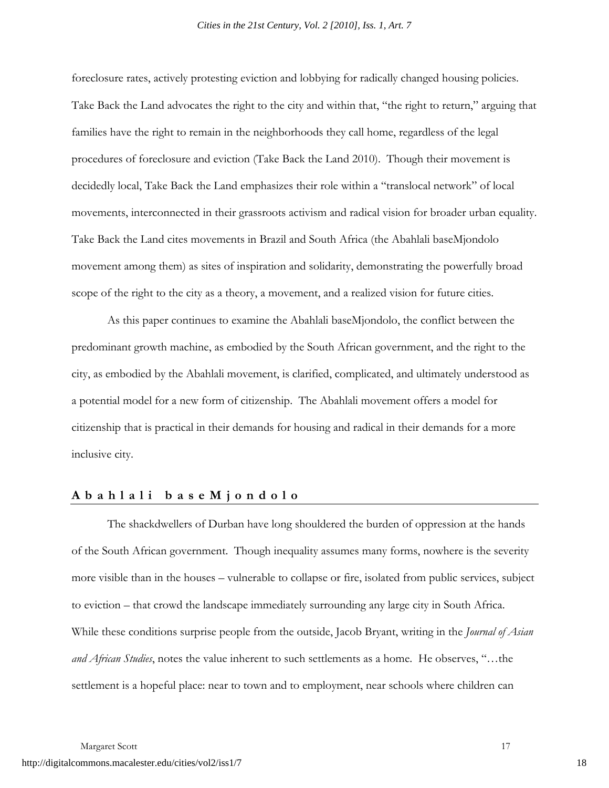foreclosure rates, actively protesting eviction and lobbying for radically changed housing policies. Take Back the Land advocates the right to the city and within that, "the right to return," arguing that families have the right to remain in the neighborhoods they call home, regardless of the legal procedures of foreclosure and eviction (Take Back the Land 2010). Though their movement is decidedly local, Take Back the Land emphasizes their role within a "translocal network" of local movements, interconnected in their grassroots activism and radical vision for broader urban equality. Take Back the Land cites movements in Brazil and South Africa (the Abahlali baseMjondolo movement among them) as sites of inspiration and solidarity, demonstrating the powerfully broad scope of the right to the city as a theory, a movement, and a realized vision for future cities.

As this paper continues to examine the Abahlali baseMjondolo, the conflict between the predominant growth machine, as embodied by the South African government, and the right to the city, as embodied by the Abahlali movement, is clarified, complicated, and ultimately understood as a potential model for a new form of citizenship. The Abahlali movement offers a model for citizenship that is practical in their demands for housing and radical in their demands for a more inclusive city.

# **Abahla li baseMjondolo**

The shackdwellers of Durban have long shouldered the burden of oppression at the hands of the South African government. Though inequality assumes many forms, nowhere is the severity more visible than in the houses – vulnerable to collapse or fire, isolated from public services, subject to eviction – that crowd the landscape immediately surrounding any large city in South Africa. While these conditions surprise people from the outside, Jacob Bryant, writing in the *Journal of Asian and African Studies*, notes the value inherent to such settlements as a home. He observes, "…the settlement is a hopeful place: near to town and to employment, near schools where children can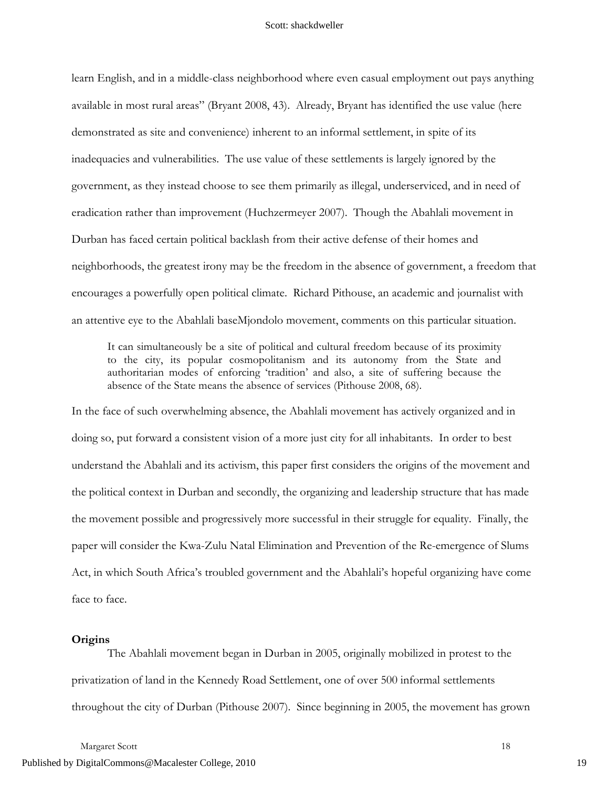learn English, and in a middle-class neighborhood where even casual employment out pays anything available in most rural areas" (Bryant 2008, 43). Already, Bryant has identified the use value (here demonstrated as site and convenience) inherent to an informal settlement, in spite of its inadequacies and vulnerabilities. The use value of these settlements is largely ignored by the government, as they instead choose to see them primarily as illegal, underserviced, and in need of eradication rather than improvement (Huchzermeyer 2007). Though the Abahlali movement in Durban has faced certain political backlash from their active defense of their homes and neighborhoods, the greatest irony may be the freedom in the absence of government, a freedom that encourages a powerfully open political climate. Richard Pithouse, an academic and journalist with an attentive eye to the Abahlali baseMjondolo movement, comments on this particular situation.

It can simultaneously be a site of political and cultural freedom because of its proximity to the city, its popular cosmopolitanism and its autonomy from the State and authoritarian modes of enforcing 'tradition' and also, a site of suffering because the absence of the State means the absence of services (Pithouse 2008, 68).

In the face of such overwhelming absence, the Abahlali movement has actively organized and in doing so, put forward a consistent vision of a more just city for all inhabitants. In order to best understand the Abahlali and its activism, this paper first considers the origins of the movement and the political context in Durban and secondly, the organizing and leadership structure that has made the movement possible and progressively more successful in their struggle for equality. Finally, the paper will consider the Kwa-Zulu Natal Elimination and Prevention of the Re-emergence of Slums Act, in which South Africa's troubled government and the Abahlali's hopeful organizing have come face to face.

#### **Origins**

The Abahlali movement began in Durban in 2005, originally mobilized in protest to the privatization of land in the Kennedy Road Settlement, one of over 500 informal settlements throughout the city of Durban (Pithouse 2007). Since beginning in 2005, the movement has grown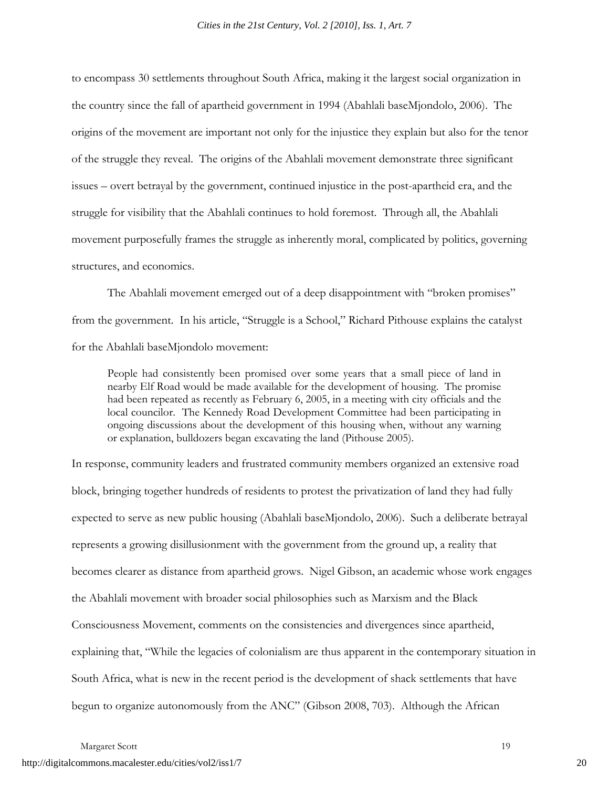to encompass 30 settlements throughout South Africa, making it the largest social organization in the country since the fall of apartheid government in 1994 (Abahlali baseMjondolo, 2006). The origins of the movement are important not only for the injustice they explain but also for the tenor of the struggle they reveal. The origins of the Abahlali movement demonstrate three significant issues – overt betrayal by the government, continued injustice in the post-apartheid era, and the struggle for visibility that the Abahlali continues to hold foremost. Through all, the Abahlali movement purposefully frames the struggle as inherently moral, complicated by politics, governing structures, and economics.

The Abahlali movement emerged out of a deep disappointment with "broken promises" from the government. In his article, "Struggle is a School," Richard Pithouse explains the catalyst for the Abahlali baseMjondolo movement:

People had consistently been promised over some years that a small piece of land in nearby Elf Road would be made available for the development of housing. The promise had been repeated as recently as February 6, 2005, in a meeting with city officials and the local councilor. The Kennedy Road Development Committee had been participating in ongoing discussions about the development of this housing when, without any warning or explanation, bulldozers began excavating the land (Pithouse 2005).

In response, community leaders and frustrated community members organized an extensive road block, bringing together hundreds of residents to protest the privatization of land they had fully expected to serve as new public housing (Abahlali baseMjondolo, 2006). Such a deliberate betrayal represents a growing disillusionment with the government from the ground up, a reality that becomes clearer as distance from apartheid grows. Nigel Gibson, an academic whose work engages the Abahlali movement with broader social philosophies such as Marxism and the Black Consciousness Movement, comments on the consistencies and divergences since apartheid, explaining that, "While the legacies of colonialism are thus apparent in the contemporary situation in South Africa, what is new in the recent period is the development of shack settlements that have begun to organize autonomously from the ANC" (Gibson 2008, 703). Although the African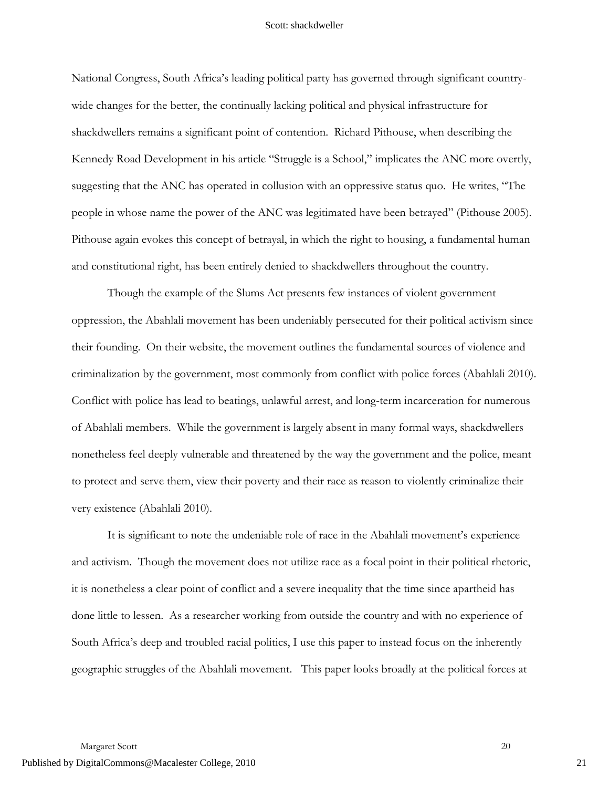National Congress, South Africa's leading political party has governed through significant countrywide changes for the better, the continually lacking political and physical infrastructure for shackdwellers remains a significant point of contention. Richard Pithouse, when describing the Kennedy Road Development in his article "Struggle is a School," implicates the ANC more overtly, suggesting that the ANC has operated in collusion with an oppressive status quo. He writes, "The people in whose name the power of the ANC was legitimated have been betrayed" (Pithouse 2005). Pithouse again evokes this concept of betrayal, in which the right to housing, a fundamental human and constitutional right, has been entirely denied to shackdwellers throughout the country.

Though the example of the Slums Act presents few instances of violent government oppression, the Abahlali movement has been undeniably persecuted for their political activism since their founding. On their website, the movement outlines the fundamental sources of violence and criminalization by the government, most commonly from conflict with police forces (Abahlali 2010). Conflict with police has lead to beatings, unlawful arrest, and long-term incarceration for numerous of Abahlali members. While the government is largely absent in many formal ways, shackdwellers nonetheless feel deeply vulnerable and threatened by the way the government and the police, meant to protect and serve them, view their poverty and their race as reason to violently criminalize their very existence (Abahlali 2010).

It is significant to note the undeniable role of race in the Abahlali movement's experience and activism. Though the movement does not utilize race as a focal point in their political rhetoric, it is nonetheless a clear point of conflict and a severe inequality that the time since apartheid has done little to lessen. As a researcher working from outside the country and with no experience of South Africa's deep and troubled racial politics, I use this paper to instead focus on the inherently geographic struggles of the Abahlali movement. This paper looks broadly at the political forces at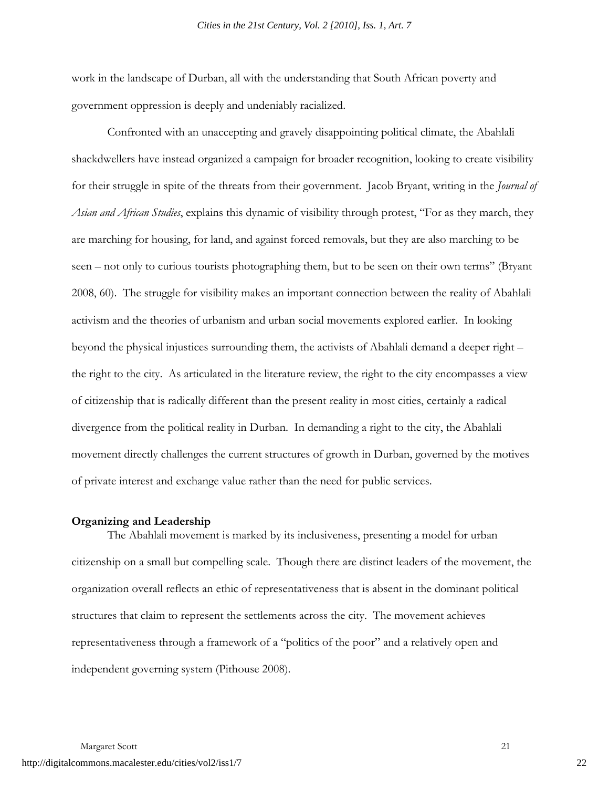work in the landscape of Durban, all with the understanding that South African poverty and government oppression is deeply and undeniably racialized.

Confronted with an unaccepting and gravely disappointing political climate, the Abahlali shackdwellers have instead organized a campaign for broader recognition, looking to create visibility for their struggle in spite of the threats from their government. Jacob Bryant, writing in the *Journal of Asian and African Studies*, explains this dynamic of visibility through protest, "For as they march, they are marching for housing, for land, and against forced removals, but they are also marching to be seen – not only to curious tourists photographing them, but to be seen on their own terms" (Bryant 2008, 60). The struggle for visibility makes an important connection between the reality of Abahlali activism and the theories of urbanism and urban social movements explored earlier. In looking beyond the physical injustices surrounding them, the activists of Abahlali demand a deeper right – the right to the city. As articulated in the literature review, the right to the city encompasses a view of citizenship that is radically different than the present reality in most cities, certainly a radical divergence from the political reality in Durban. In demanding a right to the city, the Abahlali movement directly challenges the current structures of growth in Durban, governed by the motives of private interest and exchange value rather than the need for public services.

#### **Organizing and Leadership**

The Abahlali movement is marked by its inclusiveness, presenting a model for urban citizenship on a small but compelling scale. Though there are distinct leaders of the movement, the organization overall reflects an ethic of representativeness that is absent in the dominant political structures that claim to represent the settlements across the city. The movement achieves representativeness through a framework of a "politics of the poor" and a relatively open and independent governing system (Pithouse 2008).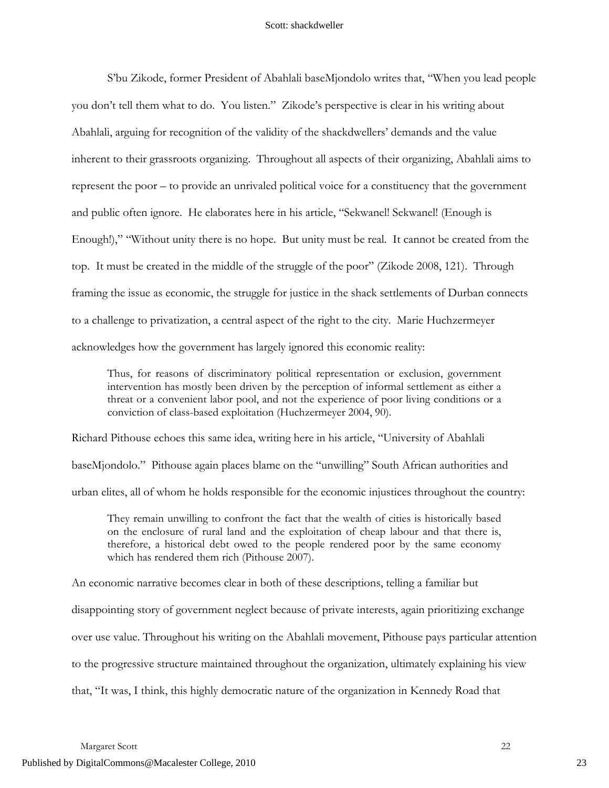S'bu Zikode, former President of Abahlali baseMjondolo writes that, "When you lead people you don't tell them what to do. You listen." Zikode's perspective is clear in his writing about Abahlali, arguing for recognition of the validity of the shackdwellers' demands and the value inherent to their grassroots organizing. Throughout all aspects of their organizing, Abahlali aims to represent the poor – to provide an unrivaled political voice for a constituency that the government and public often ignore. He elaborates here in his article, "Sekwanel! Sekwanel! (Enough is Enough!)," "Without unity there is no hope. But unity must be real. It cannot be created from the top. It must be created in the middle of the struggle of the poor" (Zikode 2008, 121). Through framing the issue as economic, the struggle for justice in the shack settlements of Durban connects to a challenge to privatization, a central aspect of the right to the city. Marie Huchzermeyer acknowledges how the government has largely ignored this economic reality:

Thus, for reasons of discriminatory political representation or exclusion, government intervention has mostly been driven by the perception of informal settlement as either a threat or a convenient labor pool, and not the experience of poor living conditions or a conviction of class-based exploitation (Huchzermeyer 2004, 90).

Richard Pithouse echoes this same idea, writing here in his article, "University of Abahlali

baseMjondolo." Pithouse again places blame on the "unwilling" South African authorities and

urban elites, all of whom he holds responsible for the economic injustices throughout the country:

They remain unwilling to confront the fact that the wealth of cities is historically based on the enclosure of rural land and the exploitation of cheap labour and that there is, therefore, a historical debt owed to the people rendered poor by the same economy which has rendered them rich (Pithouse 2007).

An economic narrative becomes clear in both of these descriptions, telling a familiar but disappointing story of government neglect because of private interests, again prioritizing exchange over use value. Throughout his writing on the Abahlali movement, Pithouse pays particular attention to the progressive structure maintained throughout the organization, ultimately explaining his view that, "It was, I think, this highly democratic nature of the organization in Kennedy Road that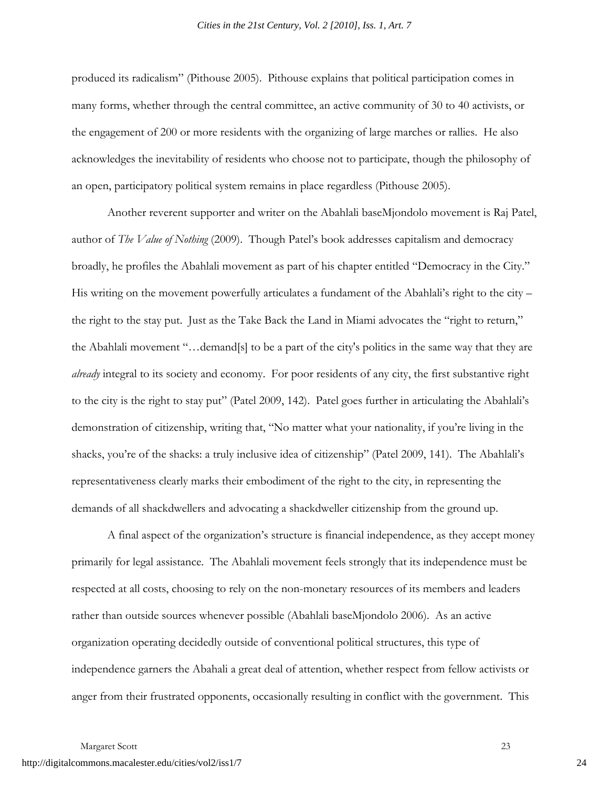produced its radicalism" (Pithouse 2005). Pithouse explains that political participation comes in many forms, whether through the central committee, an active community of 30 to 40 activists, or the engagement of 200 or more residents with the organizing of large marches or rallies. He also acknowledges the inevitability of residents who choose not to participate, though the philosophy of an open, participatory political system remains in place regardless (Pithouse 2005).

Another reverent supporter and writer on the Abahlali baseMjondolo movement is Raj Patel, author of *The Value of Nothing* (2009). Though Patel's book addresses capitalism and democracy broadly, he profiles the Abahlali movement as part of his chapter entitled "Democracy in the City." His writing on the movement powerfully articulates a fundament of the Abahlali's right to the city – the right to the stay put. Just as the Take Back the Land in Miami advocates the "right to return," the Abahlali movement "…demand[s] to be a part of the city's politics in the same way that they are *already* integral to its society and economy. For poor residents of any city, the first substantive right to the city is the right to stay put" (Patel 2009, 142). Patel goes further in articulating the Abahlali's demonstration of citizenship, writing that, "No matter what your nationality, if you're living in the shacks, you're of the shacks: a truly inclusive idea of citizenship" (Patel 2009, 141). The Abahlali's representativeness clearly marks their embodiment of the right to the city, in representing the demands of all shackdwellers and advocating a shackdweller citizenship from the ground up.

A final aspect of the organization's structure is financial independence, as they accept money primarily for legal assistance. The Abahlali movement feels strongly that its independence must be respected at all costs, choosing to rely on the non-monetary resources of its members and leaders rather than outside sources whenever possible (Abahlali baseMjondolo 2006). As an active organization operating decidedly outside of conventional political structures, this type of independence garners the Abahali a great deal of attention, whether respect from fellow activists or anger from their frustrated opponents, occasionally resulting in conflict with the government. This

Margaret Scott 23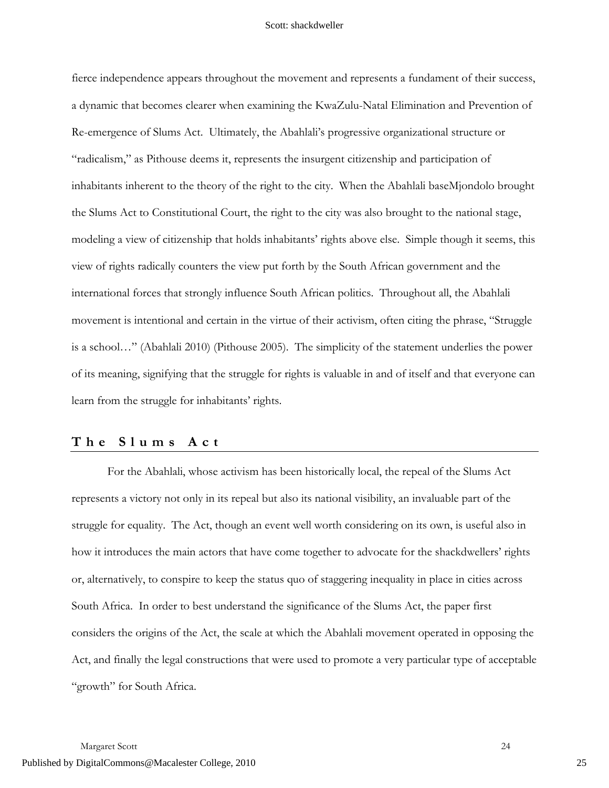fierce independence appears throughout the movement and represents a fundament of their success, a dynamic that becomes clearer when examining the KwaZulu-Natal Elimination and Prevention of Re-emergence of Slums Act. Ultimately, the Abahlali's progressive organizational structure or "radicalism," as Pithouse deems it, represents the insurgent citizenship and participation of inhabitants inherent to the theory of the right to the city. When the Abahlali baseMjondolo brought the Slums Act to Constitutional Court, the right to the city was also brought to the national stage, modeling a view of citizenship that holds inhabitants' rights above else. Simple though it seems, this view of rights radically counters the view put forth by the South African government and the international forces that strongly influence South African politics. Throughout all, the Abahlali movement is intentional and certain in the virtue of their activism, often citing the phrase, "Struggle is a school…" (Abahlali 2010) (Pithouse 2005). The simplicity of the statement underlies the power of its meaning, signifying that the struggle for rights is valuable in and of itself and that everyone can learn from the struggle for inhabitants' rights.

# **The Slums Act**

For the Abahlali, whose activism has been historically local, the repeal of the Slums Act represents a victory not only in its repeal but also its national visibility, an invaluable part of the struggle for equality. The Act, though an event well worth considering on its own, is useful also in how it introduces the main actors that have come together to advocate for the shackdwellers' rights or, alternatively, to conspire to keep the status quo of staggering inequality in place in cities across South Africa. In order to best understand the significance of the Slums Act, the paper first considers the origins of the Act, the scale at which the Abahlali movement operated in opposing the Act, and finally the legal constructions that were used to promote a very particular type of acceptable "growth" for South Africa.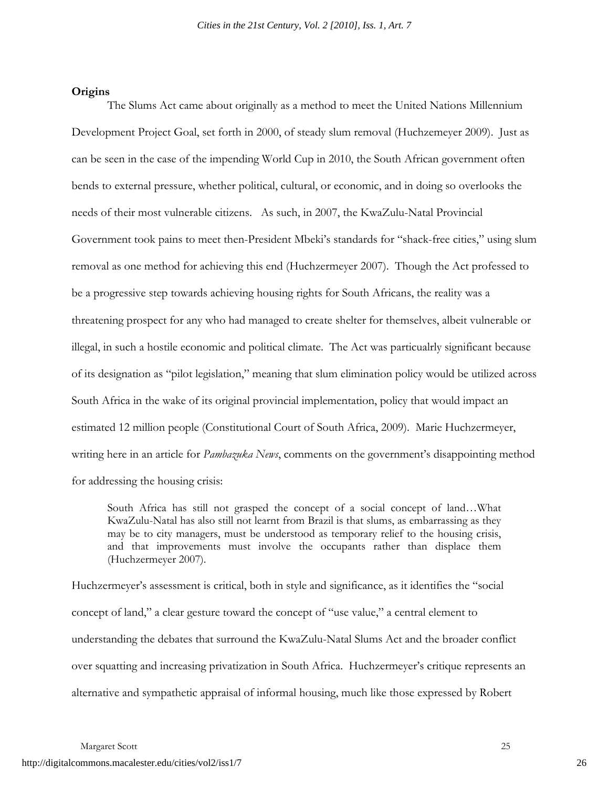#### **Origins**

The Slums Act came about originally as a method to meet the United Nations Millennium Development Project Goal, set forth in 2000, of steady slum removal (Huchzemeyer 2009). Just as can be seen in the case of the impending World Cup in 2010, the South African government often bends to external pressure, whether political, cultural, or economic, and in doing so overlooks the needs of their most vulnerable citizens. As such, in 2007, the KwaZulu-Natal Provincial Government took pains to meet then-President Mbeki's standards for "shack-free cities," using slum removal as one method for achieving this end (Huchzermeyer 2007). Though the Act professed to be a progressive step towards achieving housing rights for South Africans, the reality was a threatening prospect for any who had managed to create shelter for themselves, albeit vulnerable or illegal, in such a hostile economic and political climate. The Act was particualrly significant because of its designation as "pilot legislation," meaning that slum elimination policy would be utilized across South Africa in the wake of its original provincial implementation, policy that would impact an estimated 12 million people (Constitutional Court of South Africa, 2009). Marie Huchzermeyer, writing here in an article for *Pambazuka News*, comments on the government's disappointing method for addressing the housing crisis:

South Africa has still not grasped the concept of a social concept of land…What KwaZulu-Natal has also still not learnt from Brazil is that slums, as embarrassing as they may be to city managers, must be understood as temporary relief to the housing crisis, and that improvements must involve the occupants rather than displace them (Huchzermeyer 2007).

Huchzermeyer's assessment is critical, both in style and significance, as it identifies the "social concept of land," a clear gesture toward the concept of "use value," a central element to understanding the debates that surround the KwaZulu-Natal Slums Act and the broader conflict over squatting and increasing privatization in South Africa. Huchzermeyer's critique represents an alternative and sympathetic appraisal of informal housing, much like those expressed by Robert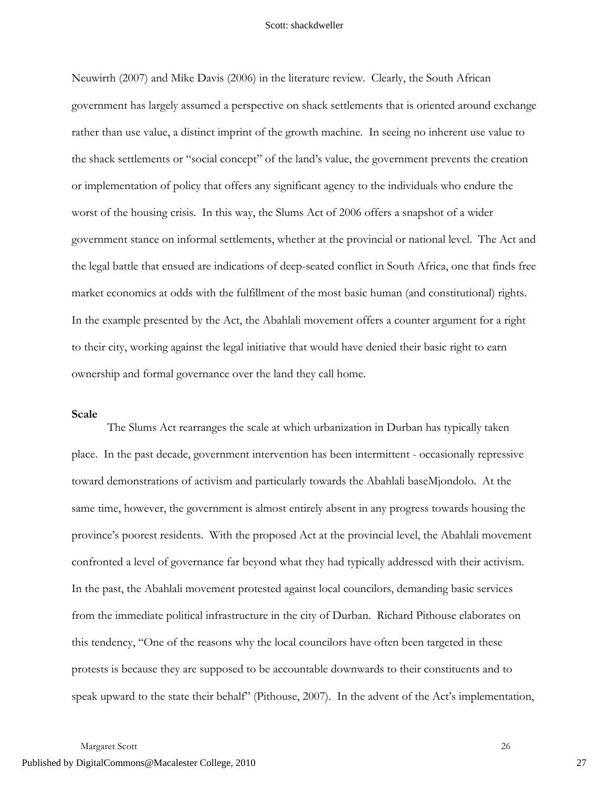Neuwirth (2007) and Mike Davis (2006) in the literature review. Clearly, the South African government has largely assumed a perspective on shack settlements that is oriented around exchange rather than use value, a distinct imprint of the growth machine. In seeing no inherent use value to the shack settlements or "social concept" of the land's value, the government prevents the creation or implementation of policy that offers any significant agency to the individuals who endure the worst of the housing crisis. In this way, the Slums Act of 2006 offers a snapshot of a wider government stance on informal settlements, whether at the provincial or national level. The Act and the legal battle that ensued are indications of deep-seated conflict in South Africa, one that finds free market economics at odds with the fulfillment of the most basic human (and constitutional) rights. In the example presented by the Act, the Abahlali movement offers a counter argument for a right to their city, working against the legal initiative that would have denied their basic right to earn ownership and formal governance over the land they call home.

#### **Scale**

The Slums Act rearranges the scale at which urbanization in Durban has typically taken place. In the past decade, government intervention has been intermittent - occasionally repressive toward demonstrations of activism and particularly towards the Abahlali baseMjondolo. At the same time, however, the government is almost entirely absent in any progress towards housing the province's poorest residents. With the proposed Act at the provincial level, the Abahlali movement confronted a level of governance far beyond what they had typically addressed with their activism. In the past, the Abahlali movement protested against local councilors, demanding basic services from the immediate political infrastructure in the city of Durban. Richard Pithouse elaborates on this tendency, "One of the reasons why the local councilors have often been targeted in these protests is because they are supposed to be accountable downwards to their constituents and to speak upward to the state their behalf" (Pithouse, 2007). In the advent of the Act's implementation,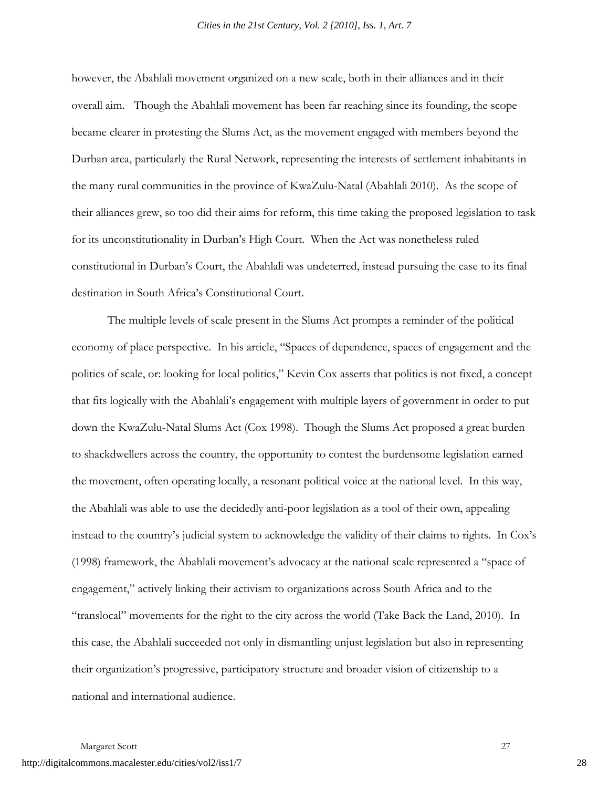however, the Abahlali movement organized on a new scale, both in their alliances and in their overall aim. Though the Abahlali movement has been far reaching since its founding, the scope became clearer in protesting the Slums Act, as the movement engaged with members beyond the Durban area, particularly the Rural Network, representing the interests of settlement inhabitants in the many rural communities in the province of KwaZulu-Natal (Abahlali 2010). As the scope of their alliances grew, so too did their aims for reform, this time taking the proposed legislation to task for its unconstitutionality in Durban's High Court. When the Act was nonetheless ruled constitutional in Durban's Court, the Abahlali was undeterred, instead pursuing the case to its final destination in South Africa's Constitutional Court.

The multiple levels of scale present in the Slums Act prompts a reminder of the political economy of place perspective. In his article, "Spaces of dependence, spaces of engagement and the politics of scale, or: looking for local politics," Kevin Cox asserts that politics is not fixed, a concept that fits logically with the Abahlali's engagement with multiple layers of government in order to put down the KwaZulu-Natal Slums Act (Cox 1998). Though the Slums Act proposed a great burden to shackdwellers across the country, the opportunity to contest the burdensome legislation earned the movement, often operating locally, a resonant political voice at the national level. In this way, the Abahlali was able to use the decidedly anti-poor legislation as a tool of their own, appealing instead to the country's judicial system to acknowledge the validity of their claims to rights. In Cox's (1998) framework, the Abahlali movement's advocacy at the national scale represented a "space of engagement," actively linking their activism to organizations across South Africa and to the "translocal" movements for the right to the city across the world (Take Back the Land, 2010). In this case, the Abahlali succeeded not only in dismantling unjust legislation but also in representing their organization's progressive, participatory structure and broader vision of citizenship to a national and international audience.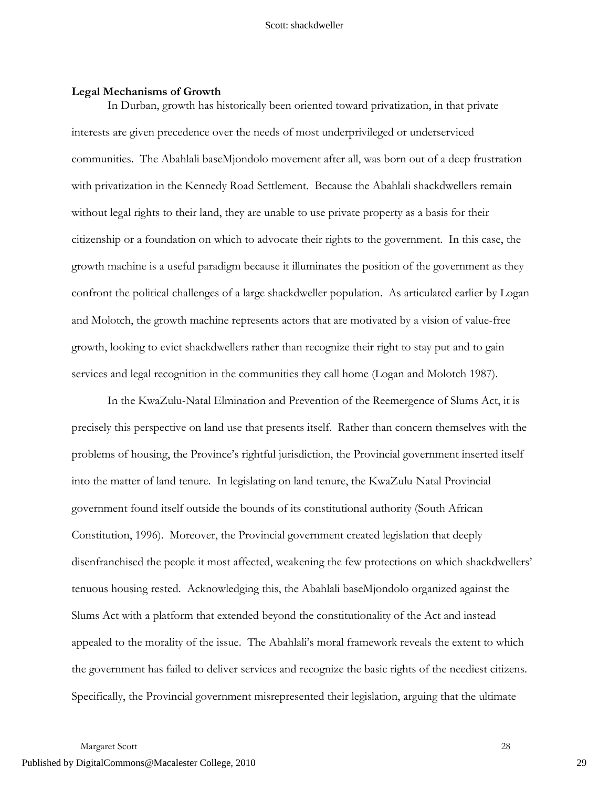# **Legal Mechanisms of Growth**

In Durban, growth has historically been oriented toward privatization, in that private interests are given precedence over the needs of most underprivileged or underserviced communities. The Abahlali baseMjondolo movement after all, was born out of a deep frustration with privatization in the Kennedy Road Settlement. Because the Abahlali shackdwellers remain without legal rights to their land, they are unable to use private property as a basis for their citizenship or a foundation on which to advocate their rights to the government. In this case, the growth machine is a useful paradigm because it illuminates the position of the government as they confront the political challenges of a large shackdweller population. As articulated earlier by Logan and Molotch, the growth machine represents actors that are motivated by a vision of value-free growth, looking to evict shackdwellers rather than recognize their right to stay put and to gain services and legal recognition in the communities they call home (Logan and Molotch 1987).

In the KwaZulu-Natal Elmination and Prevention of the Reemergence of Slums Act, it is precisely this perspective on land use that presents itself. Rather than concern themselves with the problems of housing, the Province's rightful jurisdiction, the Provincial government inserted itself into the matter of land tenure. In legislating on land tenure, the KwaZulu-Natal Provincial government found itself outside the bounds of its constitutional authority (South African Constitution, 1996). Moreover, the Provincial government created legislation that deeply disenfranchised the people it most affected, weakening the few protections on which shackdwellers' tenuous housing rested. Acknowledging this, the Abahlali baseMjondolo organized against the Slums Act with a platform that extended beyond the constitutionality of the Act and instead appealed to the morality of the issue. The Abahlali's moral framework reveals the extent to which the government has failed to deliver services and recognize the basic rights of the neediest citizens. Specifically, the Provincial government misrepresented their legislation, arguing that the ultimate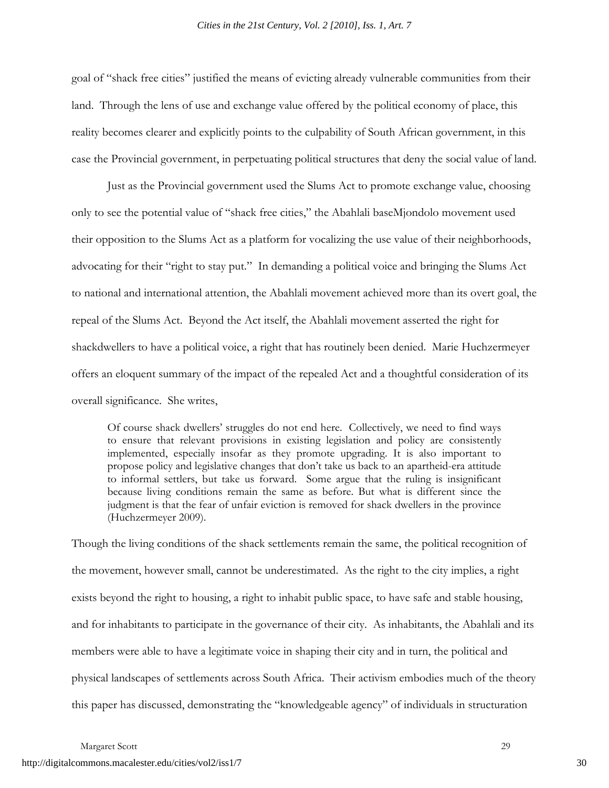goal of "shack free cities" justified the means of evicting already vulnerable communities from their land. Through the lens of use and exchange value offered by the political economy of place, this reality becomes clearer and explicitly points to the culpability of South African government, in this case the Provincial government, in perpetuating political structures that deny the social value of land.

Just as the Provincial government used the Slums Act to promote exchange value, choosing only to see the potential value of "shack free cities," the Abahlali baseMjondolo movement used their opposition to the Slums Act as a platform for vocalizing the use value of their neighborhoods, advocating for their "right to stay put." In demanding a political voice and bringing the Slums Act to national and international attention, the Abahlali movement achieved more than its overt goal, the repeal of the Slums Act. Beyond the Act itself, the Abahlali movement asserted the right for shackdwellers to have a political voice, a right that has routinely been denied. Marie Huchzermeyer offers an eloquent summary of the impact of the repealed Act and a thoughtful consideration of its overall significance. She writes,

Of course shack dwellers' struggles do not end here. Collectively, we need to find ways to ensure that relevant provisions in existing legislation and policy are consistently implemented, especially insofar as they promote upgrading. It is also important to propose policy and legislative changes that don't take us back to an apartheid-era attitude to informal settlers, but take us forward. Some argue that the ruling is insignificant because living conditions remain the same as before. But what is different since the judgment is that the fear of unfair eviction is removed for shack dwellers in the province (Huchzermeyer 2009).

Though the living conditions of the shack settlements remain the same, the political recognition of the movement, however small, cannot be underestimated. As the right to the city implies, a right exists beyond the right to housing, a right to inhabit public space, to have safe and stable housing, and for inhabitants to participate in the governance of their city. As inhabitants, the Abahlali and its members were able to have a legitimate voice in shaping their city and in turn, the political and physical landscapes of settlements across South Africa. Their activism embodies much of the theory this paper has discussed, demonstrating the "knowledgeable agency" of individuals in structuration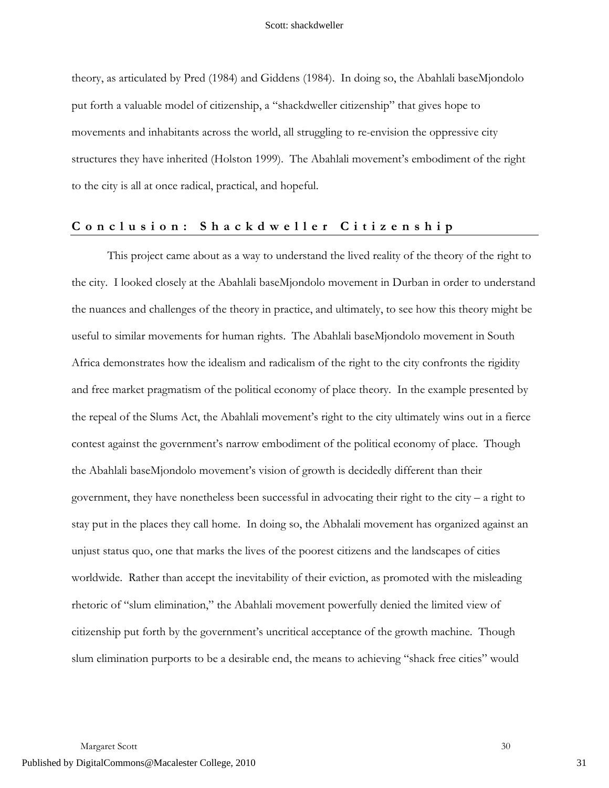theory, as articulated by Pred (1984) and Giddens (1984). In doing so, the Abahlali baseMjondolo put forth a valuable model of citizenship, a "shackdweller citizenship" that gives hope to movements and inhabitants across the world, all struggling to re-envision the oppressive city structures they have inherited (Holston 1999). The Abahlali movement's embodiment of the right to the city is all at once radical, practical, and hopeful.

# **Conclusion: Shackdweller Citizenship**

This project came about as a way to understand the lived reality of the theory of the right to the city. I looked closely at the Abahlali baseMjondolo movement in Durban in order to understand the nuances and challenges of the theory in practice, and ultimately, to see how this theory might be useful to similar movements for human rights. The Abahlali baseMjondolo movement in South Africa demonstrates how the idealism and radicalism of the right to the city confronts the rigidity and free market pragmatism of the political economy of place theory. In the example presented by the repeal of the Slums Act, the Abahlali movement's right to the city ultimately wins out in a fierce contest against the government's narrow embodiment of the political economy of place. Though the Abahlali baseMjondolo movement's vision of growth is decidedly different than their government, they have nonetheless been successful in advocating their right to the city – a right to stay put in the places they call home. In doing so, the Abhalali movement has organized against an unjust status quo, one that marks the lives of the poorest citizens and the landscapes of cities worldwide. Rather than accept the inevitability of their eviction, as promoted with the misleading rhetoric of "slum elimination," the Abahlali movement powerfully denied the limited view of citizenship put forth by the government's uncritical acceptance of the growth machine. Though slum elimination purports to be a desirable end, the means to achieving "shack free cities" would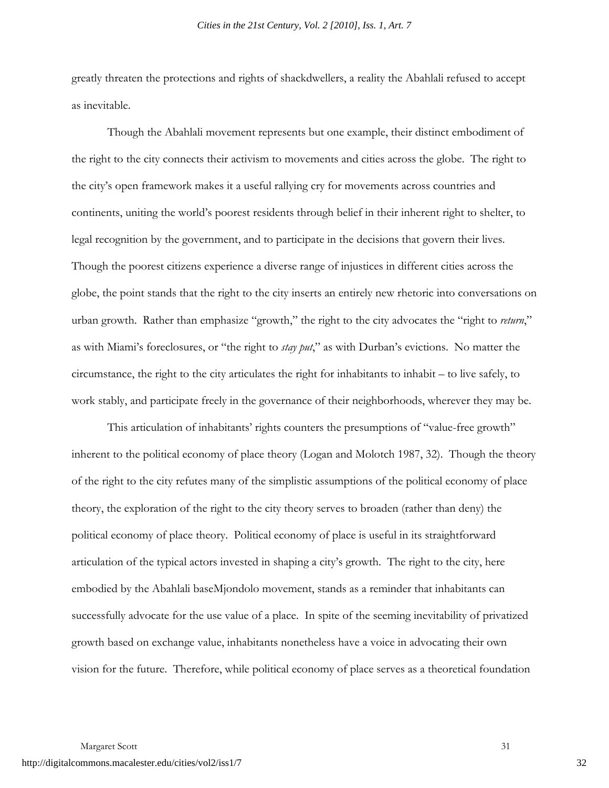greatly threaten the protections and rights of shackdwellers, a reality the Abahlali refused to accept as inevitable.

Though the Abahlali movement represents but one example, their distinct embodiment of the right to the city connects their activism to movements and cities across the globe. The right to the city's open framework makes it a useful rallying cry for movements across countries and continents, uniting the world's poorest residents through belief in their inherent right to shelter, to legal recognition by the government, and to participate in the decisions that govern their lives. Though the poorest citizens experience a diverse range of injustices in different cities across the globe, the point stands that the right to the city inserts an entirely new rhetoric into conversations on urban growth. Rather than emphasize "growth," the right to the city advocates the "right to *return*," as with Miami's foreclosures, or "the right to *stay put*," as with Durban's evictions. No matter the circumstance, the right to the city articulates the right for inhabitants to inhabit – to live safely, to work stably, and participate freely in the governance of their neighborhoods, wherever they may be.

This articulation of inhabitants' rights counters the presumptions of "value-free growth" inherent to the political economy of place theory (Logan and Molotch 1987, 32). Though the theory of the right to the city refutes many of the simplistic assumptions of the political economy of place theory, the exploration of the right to the city theory serves to broaden (rather than deny) the political economy of place theory. Political economy of place is useful in its straightforward articulation of the typical actors invested in shaping a city's growth. The right to the city, here embodied by the Abahlali baseMjondolo movement, stands as a reminder that inhabitants can successfully advocate for the use value of a place. In spite of the seeming inevitability of privatized growth based on exchange value, inhabitants nonetheless have a voice in advocating their own vision for the future. Therefore, while political economy of place serves as a theoretical foundation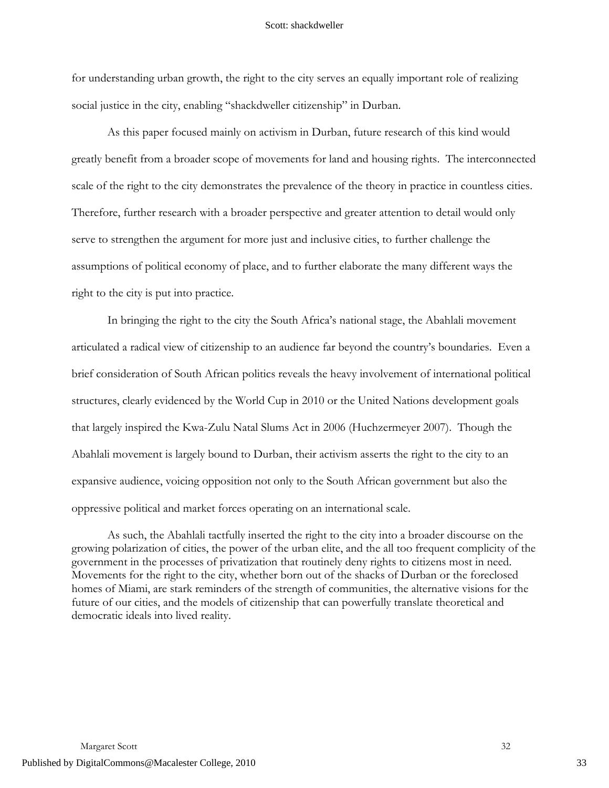for understanding urban growth, the right to the city serves an equally important role of realizing social justice in the city, enabling "shackdweller citizenship" in Durban.

As this paper focused mainly on activism in Durban, future research of this kind would greatly benefit from a broader scope of movements for land and housing rights. The interconnected scale of the right to the city demonstrates the prevalence of the theory in practice in countless cities. Therefore, further research with a broader perspective and greater attention to detail would only serve to strengthen the argument for more just and inclusive cities, to further challenge the assumptions of political economy of place, and to further elaborate the many different ways the right to the city is put into practice.

In bringing the right to the city the South Africa's national stage, the Abahlali movement articulated a radical view of citizenship to an audience far beyond the country's boundaries. Even a brief consideration of South African politics reveals the heavy involvement of international political structures, clearly evidenced by the World Cup in 2010 or the United Nations development goals that largely inspired the Kwa-Zulu Natal Slums Act in 2006 (Huchzermeyer 2007). Though the Abahlali movement is largely bound to Durban, their activism asserts the right to the city to an expansive audience, voicing opposition not only to the South African government but also the oppressive political and market forces operating on an international scale.

As such, the Abahlali tactfully inserted the right to the city into a broader discourse on the growing polarization of cities, the power of the urban elite, and the all too frequent complicity of the government in the processes of privatization that routinely deny rights to citizens most in need. Movements for the right to the city, whether born out of the shacks of Durban or the foreclosed homes of Miami, are stark reminders of the strength of communities, the alternative visions for the future of our cities, and the models of citizenship that can powerfully translate theoretical and democratic ideals into lived reality.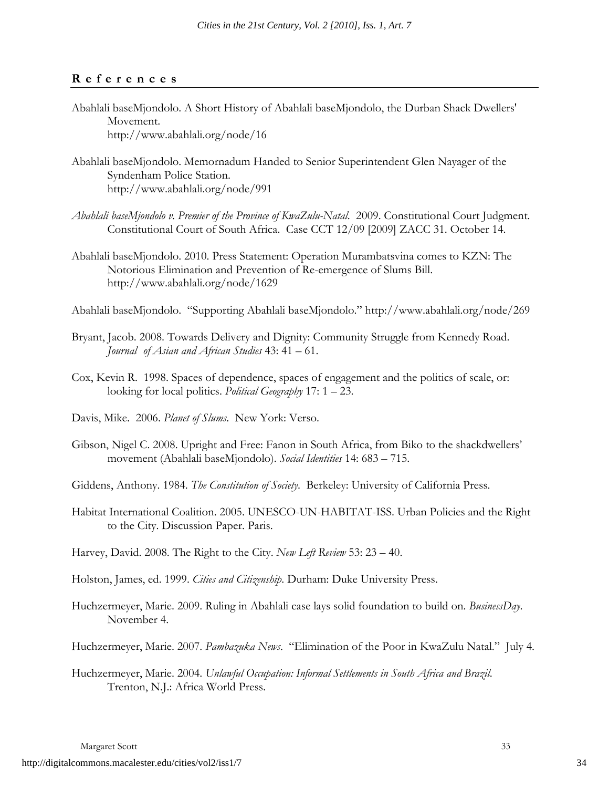# **References**

- Abahlali baseMjondolo. A Short History of Abahlali baseMjondolo, the Durban Shack Dwellers' Movement. http://www.abahlali.org/node/16
- Abahlali baseMjondolo. Memornadum Handed to Senior Superintendent Glen Nayager of the Syndenham Police Station. http://www.abahlali.org/node/991
- *Abahlali baseMjondolo v. Premier of the Province of KwaZulu-Natal*. 2009. Constitutional Court Judgment. Constitutional Court of South Africa. Case CCT 12/09 [2009] ZACC 31. October 14.
- Abahlali baseMjondolo. 2010. Press Statement: Operation Murambatsvina comes to KZN: The Notorious Elimination and Prevention of Re-emergence of Slums Bill. http://www.abahlali.org/node/1629

Abahlali baseMjondolo. "Supporting Abahlali baseMjondolo." http://www.abahlali.org/node/269

- Bryant, Jacob. 2008. Towards Delivery and Dignity: Community Struggle from Kennedy Road. *Journal of Asian and African Studies* 43: 41 – 61.
- Cox, Kevin R. 1998. Spaces of dependence, spaces of engagement and the politics of scale, or: looking for local politics. *Political Geography* 17: 1 – 23.
- Davis, Mike. 2006. *Planet of Slums*. New York: Verso.
- Gibson, Nigel C. 2008. Upright and Free: Fanon in South Africa, from Biko to the shackdwellers' movement (Abahlali baseMjondolo). *Social Identities* 14: 683 – 715.
- Giddens, Anthony. 1984. *The Constitution of Society*. Berkeley: University of California Press.
- Habitat International Coalition. 2005. UNESCO-UN-HABITAT-ISS. Urban Policies and the Right to the City. Discussion Paper. Paris.
- Harvey, David. 2008. The Right to the City. *New Left Review* 53: 23 40.

Holston, James, ed. 1999. *Cities and Citizenship*. Durham: Duke University Press.

Huchzermeyer, Marie. 2009. Ruling in Abahlali case lays solid foundation to build on. *BusinessDay*. November 4.

Huchzermeyer, Marie. 2007. *Pambazuka News*. "Elimination of the Poor in KwaZulu Natal." July 4.

Huchzermeyer, Marie. 2004. *Unlawful Occupation: Informal Settlements in South Africa and Brazil*. Trenton, N.J.: Africa World Press.

Margaret Scott 33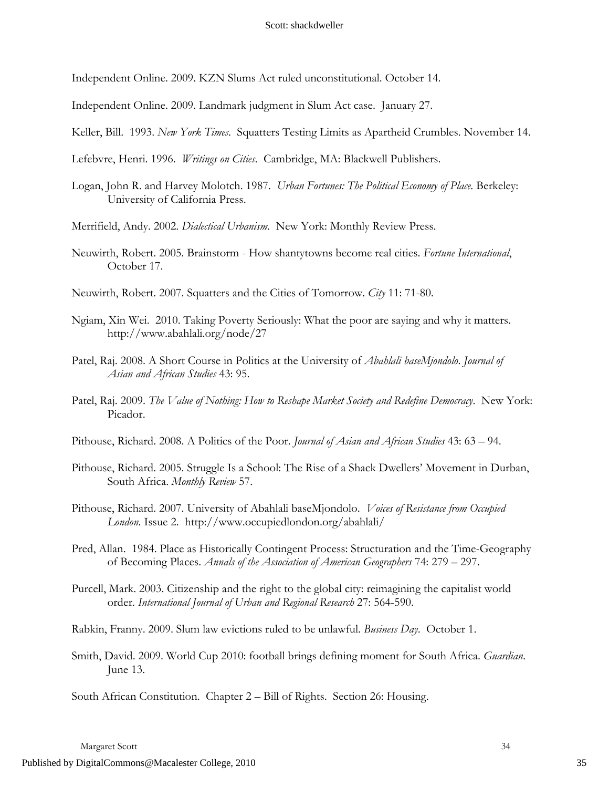Independent Online. 2009. KZN Slums Act ruled unconstitutional. October 14.

Independent Online. 2009. Landmark judgment in Slum Act case. January 27.

Keller, Bill. 1993. *New York Times*. Squatters Testing Limits as Apartheid Crumbles. November 14.

Lefebvre, Henri. 1996. *Writings on Cities*. Cambridge, MA: Blackwell Publishers.

Logan, John R. and Harvey Molotch. 1987. *Urban Fortunes: The Political Economy of Place*. Berkeley: University of California Press.

Merrifield, Andy. 2002. *Dialectical Urbanism*. New York: Monthly Review Press.

Neuwirth, Robert. 2005. Brainstorm - How shantytowns become real cities. *Fortune International*, October 17.

Neuwirth, Robert. 2007. Squatters and the Cities of Tomorrow. *City* 11: 71-80.

- Ngiam, Xin Wei. 2010. Taking Poverty Seriously: What the poor are saying and why it matters. http://www.abahlali.org/node/27
- Patel, Raj. 2008. A Short Course in Politics at the University of *Abahlali baseMjondolo*. *Journal of Asian and African Studies* 43: 95.
- Patel, Raj. 2009. *The Value of Nothing: How to Reshape Market Society and Redefine Democracy*. New York: Picador.

Pithouse, Richard. 2008. A Politics of the Poor. *Journal of Asian and African Studies* 43: 63 – 94.

Pithouse, Richard. 2005. Struggle Is a School: The Rise of a Shack Dwellers' Movement in Durban, South Africa. *Monthly Review* 57.

Pithouse, Richard. 2007. University of Abahlali baseMjondolo. *Voices of Resistance from Occupied London*. Issue 2. http://www.occupiedlondon.org/abahlali/

Pred, Allan. 1984. Place as Historically Contingent Process: Structuration and the Time-Geography of Becoming Places. *Annals of the Association of American Geographers* 74: 279 – 297.

Purcell, Mark. 2003. Citizenship and the right to the global city: reimagining the capitalist world order. *International Journal of Urban and Regional Research* 27: 564-590.

Rabkin, Franny. 2009. Slum law evictions ruled to be unlawful. *Business Day*. October 1.

Smith, David. 2009. World Cup 2010: football brings defining moment for South Africa. *Guardian*. June 13.

South African Constitution. Chapter 2 – Bill of Rights. Section 26: Housing.

Margaret Scott 34